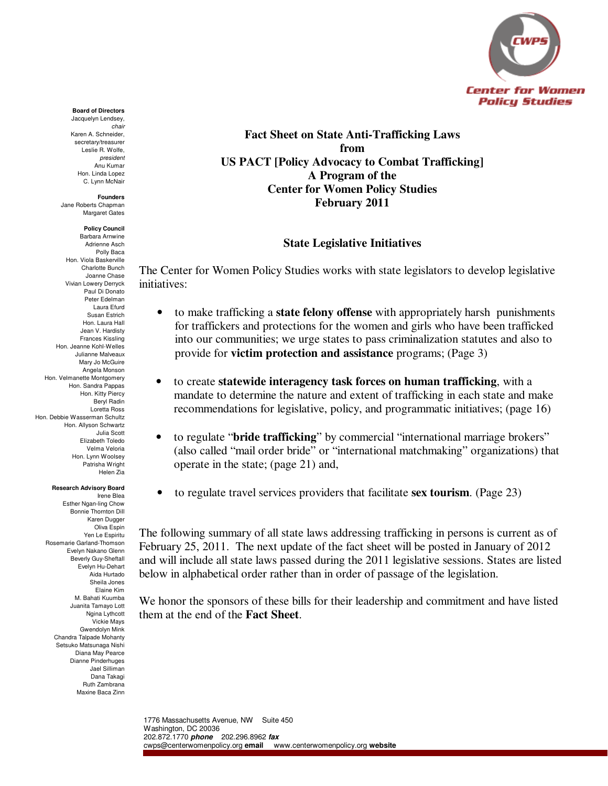

**Fact Sheet on State Anti-Trafficking Laws from US PACT [Policy Advocacy to Combat Trafficking] A Program of the Center for Women Policy Studies February 2011**

## **State Legislative Initiatives**

The Center for Women Policy Studies works with state legislators to develop legislative initiatives:

- to make trafficking a **state felony offense** with appropriately harsh punishments for traffickers and protections for the women and girls who have been trafficked into our communities; we urge states to pass criminalization statutes and also to provide for **victim protection and assistance** programs; (Page 3)
- to create **statewide interagency task forces on human trafficking**, with a mandate to determine the nature and extent of trafficking in each state and make recommendations for legislative, policy, and programmatic initiatives; (page 16)
- to regulate "**bride trafficking**" by commercial "international marriage brokers" (also called "mail order bride" or "international matchmaking" organizations) that operate in the state; (page 21) and,
- to regulate travel services providers that facilitate **sex tourism**. (Page 23)

The following summary of all state laws addressing trafficking in persons is current as of February 25, 2011. The next update of the fact sheet will be posted in January of 2012 and will include all state laws passed during the 2011 legislative sessions. States are listed below in alphabetical order rather than in order of passage of the legislation.

We honor the sponsors of these bills for their leadership and commitment and have listed them at the end of the **Fact Sheet**.

#### 1776 Massachusetts Avenue, NW Suite 450 Washington, DC 20036 202.872.1770 **phone** 202.296.8962 **fax**  cwps@centerwomenpolicy.org **email** www.centerwomenpolicy.org **website**

#### **Board of Directors**

Jacquelyn Lendsey, chair Karen A. Schneider, secretary/treasurer Leslie R. Wolfe, president Anu Kumar Hon. Linda Lopez C. Lynn McNair

#### **Founders** Jane Roberts Chapman

Margaret Gates

#### **Policy Council**

Barbara Arnwine Adrienne Asch Polly Baca Hon. Viola Baskerville Charlotte Bunch Joanne Chase Vivian Lowery Derryck Paul Di Donato Peter Edelman Laura Efurd Susan Estrich Hon. Laura Hall Jean V. Hardisty Frances Kissling Hon. Jeanne Kohl-Welles Julianne Malveaux Mary Jo McGuire Angela Monson Hon. Velmanette Montgomery Hon. Sandra Pappas Hon. Kitty Piercy Beryl Radin Loretta Ross Hon. Debbie Wasserman Schultz Hon. Allyson Schwartz Julia Scott Elizabeth Toledo Velma Veloria Hon. Lynn Woolsey Patrisha Wright Helen Zia

#### **Research Advisory Board**

Irene Blea Esther Ngan-ling Chow Bonnie Thornton Dill Karen Dugger Oliva Espin Yen Le Espiritu Rosemarie Garland-Thomson Evelyn Nakano Glenn Beverly Guy-Sheftall Evelyn Hu-Dehart Aida Hurtado Sheila Jones Elaine Kim M. Bahati Kuumba Juanita Tamayo Lott Ngina Lythcott Vickie Mays Gwendolyn Mink Chandra Talpade Mohanty Setsuko Matsunaga Nishi Diana May Pearce Dianne Pinderhuges Jael Silliman Dana Takagi Ruth Zambrana Maxine Baca Zinn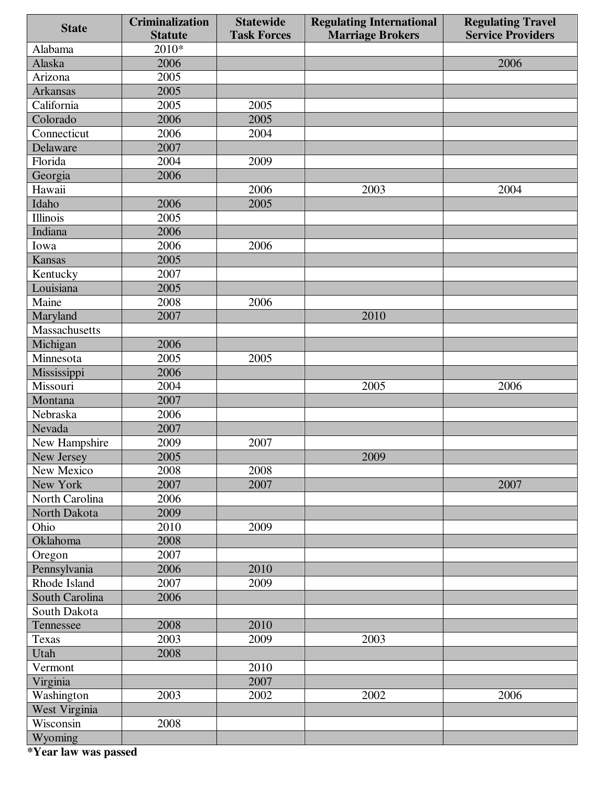| <b>State</b>    | <b>Criminalization</b> | <b>Statewide</b>   | <b>Regulating International</b> | <b>Regulating Travel</b> |
|-----------------|------------------------|--------------------|---------------------------------|--------------------------|
|                 | <b>Statute</b>         | <b>Task Forces</b> | <b>Marriage Brokers</b>         | <b>Service Providers</b> |
| Alabama         | 2010*                  |                    |                                 |                          |
| Alaska          | 2006                   |                    |                                 | 2006                     |
| Arizona         | 2005                   |                    |                                 |                          |
| <b>Arkansas</b> | 2005                   |                    |                                 |                          |
| California      | 2005                   | 2005               |                                 |                          |
| Colorado        | 2006                   | 2005               |                                 |                          |
| Connecticut     | 2006                   | 2004               |                                 |                          |
| Delaware        | 2007                   |                    |                                 |                          |
| Florida         | 2004                   | 2009               |                                 |                          |
| Georgia         | 2006                   |                    |                                 |                          |
| Hawaii          |                        | 2006               | 2003                            | 2004                     |
| Idaho           | 2006                   | 2005               |                                 |                          |
| Illinois        | 2005                   |                    |                                 |                          |
| Indiana         | 2006                   |                    |                                 |                          |
| Iowa            | 2006                   | 2006               |                                 |                          |
| <b>Kansas</b>   | 2005                   |                    |                                 |                          |
| Kentucky        | 2007                   |                    |                                 |                          |
| Louisiana       | 2005                   |                    |                                 |                          |
| Maine           | 2008                   | 2006               |                                 |                          |
| Maryland        | 2007                   |                    | 2010                            |                          |
| Massachusetts   |                        |                    |                                 |                          |
| Michigan        | 2006                   |                    |                                 |                          |
| Minnesota       | 2005                   | 2005               |                                 |                          |
| Mississippi     | 2006                   |                    |                                 |                          |
| Missouri        | 2004                   |                    | 2005                            | 2006                     |
| Montana         | 2007                   |                    |                                 |                          |
| Nebraska        | 2006                   |                    |                                 |                          |
| Nevada          | 2007                   |                    |                                 |                          |
| New Hampshire   | 2009                   | 2007               |                                 |                          |
| New Jersey      | 2005                   |                    | 2009                            |                          |
| New Mexico      | 2008                   | 2008               |                                 |                          |
| New York        | 2007                   | 2007               |                                 | 2007                     |
| North Carolina  | 2006                   |                    |                                 |                          |
| North Dakota    | 2009                   |                    |                                 |                          |
| Ohio            | 2010                   | 2009               |                                 |                          |
| Oklahoma        | 2008                   |                    |                                 |                          |
| Oregon          | 2007                   |                    |                                 |                          |
| Pennsylvania    | 2006                   | 2010               |                                 |                          |
| Rhode Island    | 2007                   | 2009               |                                 |                          |
| South Carolina  | 2006                   |                    |                                 |                          |
| South Dakota    |                        |                    |                                 |                          |
| Tennessee       | 2008                   | 2010               |                                 |                          |
| Texas           | 2003                   | 2009               | 2003                            |                          |
| Utah            | 2008                   |                    |                                 |                          |
| Vermont         |                        | 2010               |                                 |                          |
| Virginia        |                        | 2007               |                                 |                          |
| Washington      | 2003                   | 2002               | 2002                            | 2006                     |
| West Virginia   |                        |                    |                                 |                          |
| Wisconsin       | 2008                   |                    |                                 |                          |
| Wyoming         |                        |                    |                                 |                          |

 **\*Year law was passed**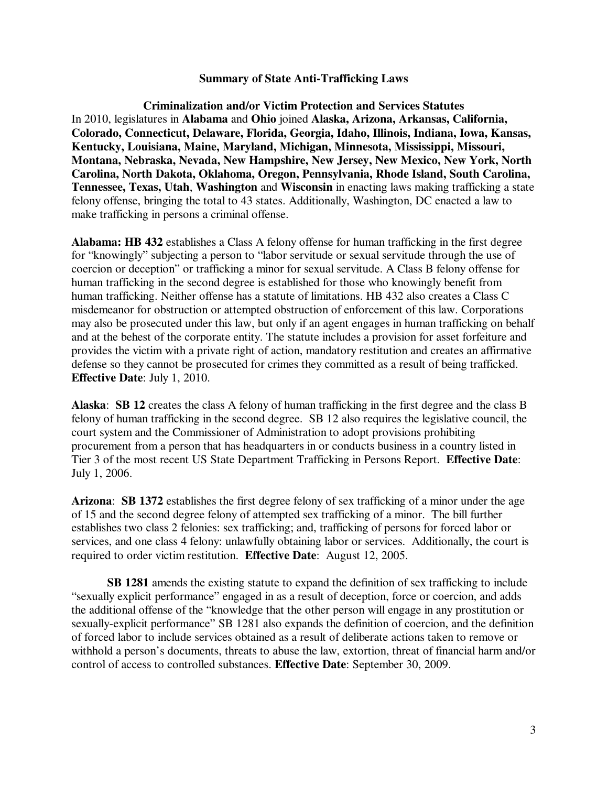#### **Summary of State Anti-Trafficking Laws**

**Criminalization and/or Victim Protection and Services Statutes**  In 2010, legislatures in **Alabama** and **Ohio** joined **Alaska, Arizona, Arkansas, California, Colorado, Connecticut, Delaware, Florida, Georgia, Idaho, Illinois, Indiana, Iowa, Kansas, Kentucky, Louisiana, Maine, Maryland, Michigan, Minnesota, Mississippi, Missouri, Montana, Nebraska, Nevada, New Hampshire, New Jersey, New Mexico, New York, North Carolina, North Dakota, Oklahoma, Oregon, Pennsylvania, Rhode Island, South Carolina, Tennessee, Texas, Utah**, **Washington** and **Wisconsin** in enacting laws making trafficking a state felony offense, bringing the total to 43 states. Additionally, Washington, DC enacted a law to make trafficking in persons a criminal offense.

**Alabama: HB 432** establishes a Class A felony offense for human trafficking in the first degree for "knowingly" subjecting a person to "labor servitude or sexual servitude through the use of coercion or deception" or trafficking a minor for sexual servitude. A Class B felony offense for human trafficking in the second degree is established for those who knowingly benefit from human trafficking. Neither offense has a statute of limitations. HB 432 also creates a Class C misdemeanor for obstruction or attempted obstruction of enforcement of this law. Corporations may also be prosecuted under this law, but only if an agent engages in human trafficking on behalf and at the behest of the corporate entity. The statute includes a provision for asset forfeiture and provides the victim with a private right of action, mandatory restitution and creates an affirmative defense so they cannot be prosecuted for crimes they committed as a result of being trafficked. **Effective Date**: July 1, 2010.

**Alaska**: **SB 12** creates the class A felony of human trafficking in the first degree and the class B felony of human trafficking in the second degree. SB 12 also requires the legislative council, the court system and the Commissioner of Administration to adopt provisions prohibiting procurement from a person that has headquarters in or conducts business in a country listed in Tier 3 of the most recent US State Department Trafficking in Persons Report. **Effective Date**: July 1, 2006.

**Arizona**: **SB 1372** establishes the first degree felony of sex trafficking of a minor under the age of 15 and the second degree felony of attempted sex trafficking of a minor. The bill further establishes two class 2 felonies: sex trafficking; and, trafficking of persons for forced labor or services, and one class 4 felony: unlawfully obtaining labor or services. Additionally, the court is required to order victim restitution. **Effective Date**:August 12, 2005.

 **SB 1281** amends the existing statute to expand the definition of sex trafficking to include "sexually explicit performance" engaged in as a result of deception, force or coercion, and adds the additional offense of the "knowledge that the other person will engage in any prostitution or sexually-explicit performance" SB 1281 also expands the definition of coercion, and the definition of forced labor to include services obtained as a result of deliberate actions taken to remove or withhold a person's documents, threats to abuse the law, extortion, threat of financial harm and/or control of access to controlled substances. **Effective Date**: September 30, 2009.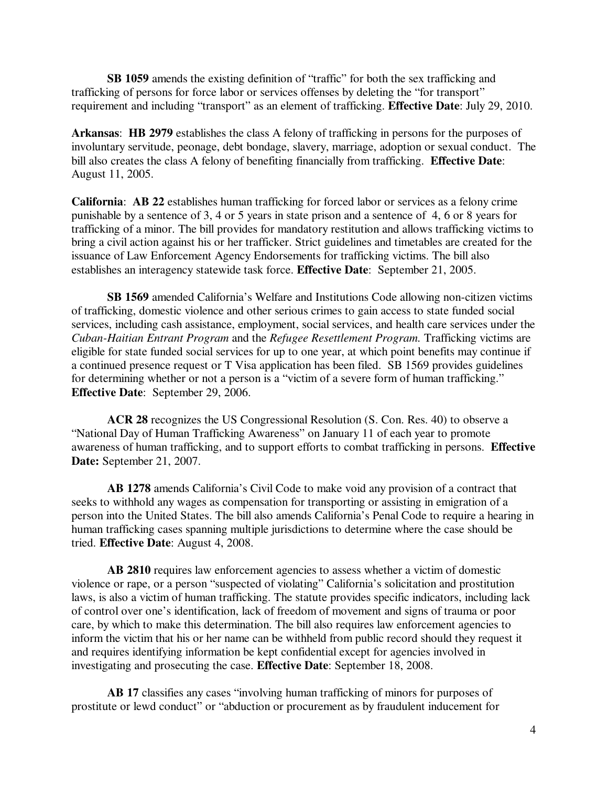**SB 1059** amends the existing definition of "traffic" for both the sex trafficking and trafficking of persons for force labor or services offenses by deleting the "for transport" requirement and including "transport" as an element of trafficking. **Effective Date**: July 29, 2010.

**Arkansas**: **HB 2979** establishes the class A felony of trafficking in persons for the purposes of involuntary servitude, peonage, debt bondage, slavery, marriage, adoption or sexual conduct. The bill also creates the class A felony of benefiting financially from trafficking. **Effective Date**: August 11, 2005.

**California**: **AB 22** establishes human trafficking for forced labor or services as a felony crime punishable by a sentence of 3, 4 or 5 years in state prison and a sentence of 4, 6 or 8 years for trafficking of a minor. The bill provides for mandatory restitution and allows trafficking victims to bring a civil action against his or her trafficker. Strict guidelines and timetables are created for the issuance of Law Enforcement Agency Endorsements for trafficking victims. The bill also establishes an interagency statewide task force. **Effective Date**: September 21, 2005.

**SB 1569** amended California's Welfare and Institutions Code allowing non-citizen victims of trafficking, domestic violence and other serious crimes to gain access to state funded social services, including cash assistance, employment, social services, and health care services under the *Cuban-Haitian Entrant Program* and the *Refugee Resettlement Program.* Trafficking victims are eligible for state funded social services for up to one year, at which point benefits may continue if a continued presence request or T Visa application has been filed. SB 1569 provides guidelines for determining whether or not a person is a "victim of a severe form of human trafficking." **Effective Date**: September 29, 2006.

 **ACR 28** recognizes the US Congressional Resolution (S. Con. Res. 40) to observe a "National Day of Human Trafficking Awareness" on January 11 of each year to promote awareness of human trafficking, and to support efforts to combat trafficking in persons. **Effective Date:** September 21, 2007.

 **AB 1278** amends California's Civil Code to make void any provision of a contract that seeks to withhold any wages as compensation for transporting or assisting in emigration of a person into the United States. The bill also amends California's Penal Code to require a hearing in human trafficking cases spanning multiple jurisdictions to determine where the case should be tried. **Effective Date**: August 4, 2008.

 **AB 2810** requires law enforcement agencies to assess whether a victim of domestic violence or rape, or a person "suspected of violating" California's solicitation and prostitution laws, is also a victim of human trafficking. The statute provides specific indicators, including lack of control over one's identification, lack of freedom of movement and signs of trauma or poor care, by which to make this determination. The bill also requires law enforcement agencies to inform the victim that his or her name can be withheld from public record should they request it and requires identifying information be kept confidential except for agencies involved in investigating and prosecuting the case. **Effective Date**: September 18, 2008.

 **AB 17** classifies any cases "involving human trafficking of minors for purposes of prostitute or lewd conduct" or "abduction or procurement as by fraudulent inducement for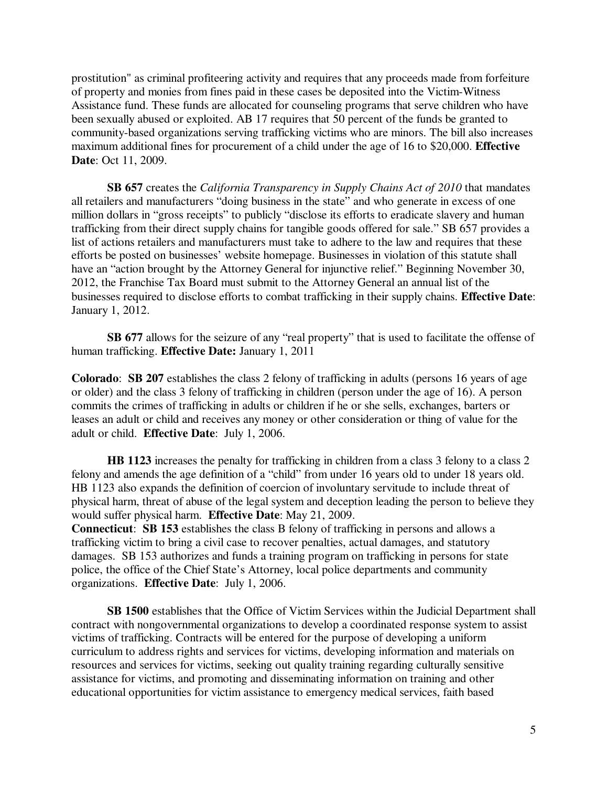prostitution" as criminal profiteering activity and requires that any proceeds made from forfeiture of property and monies from fines paid in these cases be deposited into the Victim-Witness Assistance fund. These funds are allocated for counseling programs that serve children who have been sexually abused or exploited. AB 17 requires that 50 percent of the funds be granted to community-based organizations serving trafficking victims who are minors. The bill also increases maximum additional fines for procurement of a child under the age of 16 to \$20,000. **Effective Date**: Oct 11, 2009.

 **SB 657** creates the *California Transparency in Supply Chains Act of 2010* that mandates all retailers and manufacturers "doing business in the state" and who generate in excess of one million dollars in "gross receipts" to publicly "disclose its efforts to eradicate slavery and human trafficking from their direct supply chains for tangible goods offered for sale." SB 657 provides a list of actions retailers and manufacturers must take to adhere to the law and requires that these efforts be posted on businesses' website homepage. Businesses in violation of this statute shall have an "action brought by the Attorney General for injunctive relief." Beginning November 30, 2012, the Franchise Tax Board must submit to the Attorney General an annual list of the businesses required to disclose efforts to combat trafficking in their supply chains. **Effective Date**: January 1, 2012.

 **SB 677** allows for the seizure of any "real property" that is used to facilitate the offense of human trafficking. **Effective Date:** January 1, 2011

**Colorado**: **SB 207** establishes the class 2 felony of trafficking in adults (persons 16 years of age or older) and the class 3 felony of trafficking in children (person under the age of 16). A person commits the crimes of trafficking in adults or children if he or she sells, exchanges, barters or leases an adult or child and receives any money or other consideration or thing of value for the adult or child. **Effective Date**: July 1, 2006.

 **HB 1123** increases the penalty for trafficking in children from a class 3 felony to a class 2 felony and amends the age definition of a "child" from under 16 years old to under 18 years old. HB 1123 also expands the definition of coercion of involuntary servitude to include threat of physical harm, threat of abuse of the legal system and deception leading the person to believe they would suffer physical harm. **Effective Date**: May 21, 2009.

**Connecticut**: **SB 153** establishes the class B felony of trafficking in persons and allows a trafficking victim to bring a civil case to recover penalties, actual damages, and statutory damages. SB 153 authorizes and funds a training program on trafficking in persons for state police, the office of the Chief State's Attorney, local police departments and community organizations. **Effective Date**: July 1, 2006.

**SB 1500** establishes that the Office of Victim Services within the Judicial Department shall contract with nongovernmental organizations to develop a coordinated response system to assist victims of trafficking. Contracts will be entered for the purpose of developing a uniform curriculum to address rights and services for victims, developing information and materials on resources and services for victims, seeking out quality training regarding culturally sensitive assistance for victims, and promoting and disseminating information on training and other educational opportunities for victim assistance to emergency medical services, faith based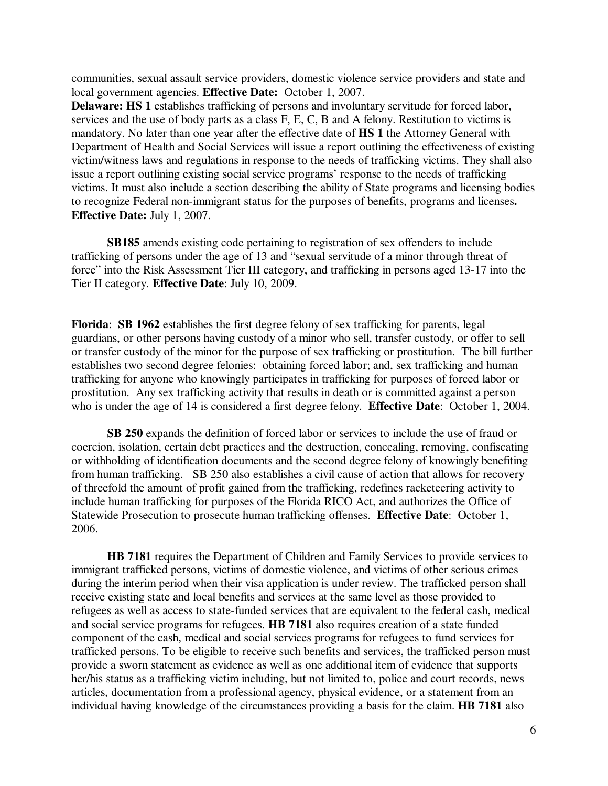communities, sexual assault service providers, domestic violence service providers and state and local government agencies. **Effective Date:** October 1, 2007.

**Delaware: HS 1** establishes trafficking of persons and involuntary servitude for forced labor, services and the use of body parts as a class F, E, C, B and A felony. Restitution to victims is mandatory. No later than one year after the effective date of **HS 1** the Attorney General with Department of Health and Social Services will issue a report outlining the effectiveness of existing victim/witness laws and regulations in response to the needs of trafficking victims. They shall also issue a report outlining existing social service programs' response to the needs of trafficking victims. It must also include a section describing the ability of State programs and licensing bodies to recognize Federal non-immigrant status for the purposes of benefits, programs and licenses**. Effective Date:** July 1, 2007.

**SB185** amends existing code pertaining to registration of sex offenders to include trafficking of persons under the age of 13 and "sexual servitude of a minor through threat of force" into the Risk Assessment Tier III category, and trafficking in persons aged 13-17 into the Tier II category. **Effective Date**: July 10, 2009.

**Florida**: **SB 1962** establishes the first degree felony of sex trafficking for parents, legal guardians, or other persons having custody of a minor who sell, transfer custody, or offer to sell or transfer custody of the minor for the purpose of sex trafficking or prostitution. The bill further establishes two second degree felonies: obtaining forced labor; and, sex trafficking and human trafficking for anyone who knowingly participates in trafficking for purposes of forced labor or prostitution. Any sex trafficking activity that results in death or is committed against a person who is under the age of 14 is considered a first degree felony. **Effective Date**: October 1, 2004.

**SB 250** expands the definition of forced labor or services to include the use of fraud or coercion, isolation, certain debt practices and the destruction, concealing, removing, confiscating or withholding of identification documents and the second degree felony of knowingly benefiting from human trafficking. SB 250 also establishes a civil cause of action that allows for recovery of threefold the amount of profit gained from the trafficking, redefines racketeering activity to include human trafficking for purposes of the Florida RICO Act, and authorizes the Office of Statewide Prosecution to prosecute human trafficking offenses. **Effective Date**: October 1, 2006.

**HB 7181** requires the Department of Children and Family Services to provide services to immigrant trafficked persons, victims of domestic violence, and victims of other serious crimes during the interim period when their visa application is under review. The trafficked person shall receive existing state and local benefits and services at the same level as those provided to refugees as well as access to state-funded services that are equivalent to the federal cash, medical and social service programs for refugees. **HB 7181** also requires creation of a state funded component of the cash, medical and social services programs for refugees to fund services for trafficked persons. To be eligible to receive such benefits and services, the trafficked person must provide a sworn statement as evidence as well as one additional item of evidence that supports her/his status as a trafficking victim including, but not limited to, police and court records, news articles, documentation from a professional agency, physical evidence, or a statement from an individual having knowledge of the circumstances providing a basis for the claim. **HB 7181** also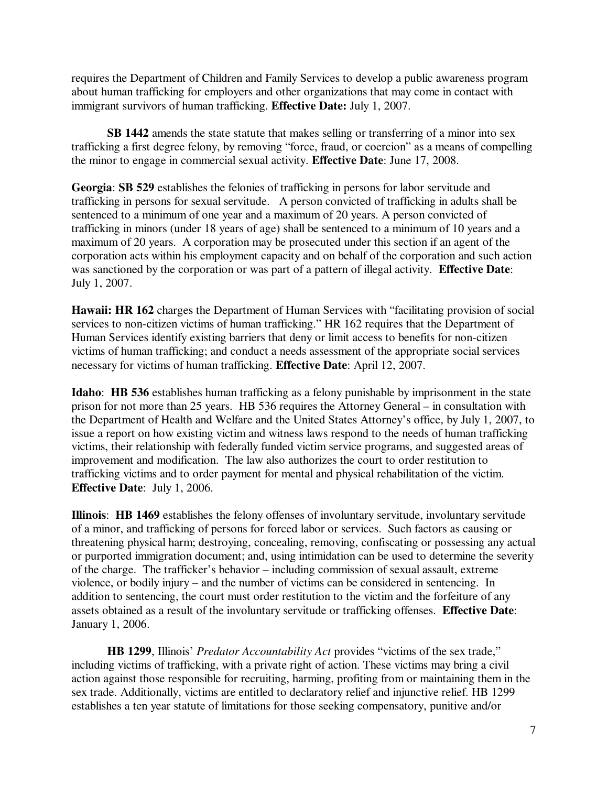requires the Department of Children and Family Services to develop a public awareness program about human trafficking for employers and other organizations that may come in contact with immigrant survivors of human trafficking. **Effective Date:** July 1, 2007.

 **SB 1442** amends the state statute that makes selling or transferring of a minor into sex trafficking a first degree felony, by removing "force, fraud, or coercion" as a means of compelling the minor to engage in commercial sexual activity. **Effective Date**: June 17, 2008.

**Georgia**: **SB 529** establishes the felonies of trafficking in persons for labor servitude and trafficking in persons for sexual servitude. A person convicted of trafficking in adults shall be sentenced to a minimum of one year and a maximum of 20 years. A person convicted of trafficking in minors (under 18 years of age) shall be sentenced to a minimum of 10 years and a maximum of 20 years. A corporation may be prosecuted under this section if an agent of the corporation acts within his employment capacity and on behalf of the corporation and such action was sanctioned by the corporation or was part of a pattern of illegal activity. **Effective Date**: July 1, 2007.

**Hawaii: HR 162** charges the Department of Human Services with "facilitating provision of social services to non-citizen victims of human trafficking." HR 162 requires that the Department of Human Services identify existing barriers that deny or limit access to benefits for non-citizen victims of human trafficking; and conduct a needs assessment of the appropriate social services necessary for victims of human trafficking. **Effective Date**: April 12, 2007.

**Idaho**: **HB 536** establishes human trafficking as a felony punishable by imprisonment in the state prison for not more than 25 years. HB 536 requires the Attorney General – in consultation with the Department of Health and Welfare and the United States Attorney's office, by July 1, 2007, to issue a report on how existing victim and witness laws respond to the needs of human trafficking victims, their relationship with federally funded victim service programs, and suggested areas of improvement and modification. The law also authorizes the court to order restitution to trafficking victims and to order payment for mental and physical rehabilitation of the victim. **Effective Date**:July 1, 2006.

**Illinois**: **HB 1469** establishes the felony offenses of involuntary servitude, involuntary servitude of a minor, and trafficking of persons for forced labor or services. Such factors as causing or threatening physical harm; destroying, concealing, removing, confiscating or possessing any actual or purported immigration document; and, using intimidation can be used to determine the severity of the charge. The trafficker's behavior – including commission of sexual assault, extreme violence, or bodily injury – and the number of victims can be considered in sentencing. In addition to sentencing, the court must order restitution to the victim and the forfeiture of any assets obtained as a result of the involuntary servitude or trafficking offenses. **Effective Date**: January 1, 2006.

**HB 1299**, Illinois' *Predator Accountability Act* provides "victims of the sex trade," including victims of trafficking, with a private right of action. These victims may bring a civil action against those responsible for recruiting, harming, profiting from or maintaining them in the sex trade. Additionally, victims are entitled to declaratory relief and injunctive relief. HB 1299 establishes a ten year statute of limitations for those seeking compensatory, punitive and/or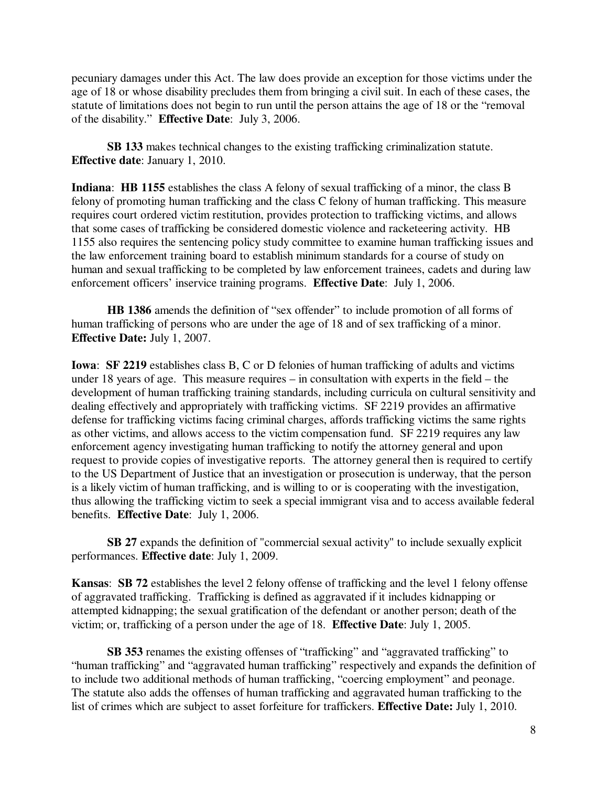pecuniary damages under this Act. The law does provide an exception for those victims under the age of 18 or whose disability precludes them from bringing a civil suit. In each of these cases, the statute of limitations does not begin to run until the person attains the age of 18 or the "removal of the disability." **Effective Date**:July 3, 2006.

**SB 133** makes technical changes to the existing trafficking criminalization statute. **Effective date**: January 1, 2010.

**Indiana**: **HB 1155** establishes the class A felony of sexual trafficking of a minor, the class B felony of promoting human trafficking and the class C felony of human trafficking. This measure requires court ordered victim restitution, provides protection to trafficking victims, and allows that some cases of trafficking be considered domestic violence and racketeering activity. HB 1155 also requires the sentencing policy study committee to examine human trafficking issues and the law enforcement training board to establish minimum standards for a course of study on human and sexual trafficking to be completed by law enforcement trainees, cadets and during law enforcement officers' inservice training programs. **Effective Date**: July 1, 2006.

 **HB 1386** amends the definition of "sex offender" to include promotion of all forms of human trafficking of persons who are under the age of 18 and of sex trafficking of a minor. **Effective Date:** July 1, 2007.

**Iowa**: **SF 2219** establishes class B, C or D felonies of human trafficking of adults and victims under 18 years of age. This measure requires – in consultation with experts in the field – the development of human trafficking training standards, including curricula on cultural sensitivity and dealing effectively and appropriately with trafficking victims. SF 2219 provides an affirmative defense for trafficking victims facing criminal charges, affords trafficking victims the same rights as other victims, and allows access to the victim compensation fund. SF 2219 requires any law enforcement agency investigating human trafficking to notify the attorney general and upon request to provide copies of investigative reports. The attorney general then is required to certify to the US Department of Justice that an investigation or prosecution is underway, that the person is a likely victim of human trafficking, and is willing to or is cooperating with the investigation, thus allowing the trafficking victim to seek a special immigrant visa and to access available federal benefits. **Effective Date**: July 1, 2006.

 **SB 27** expands the definition of "commercial sexual activity" to include sexually explicit performances. **Effective date**: July 1, 2009.

**Kansas**: **SB 72** establishes the level 2 felony offense of trafficking and the level 1 felony offense of aggravated trafficking. Trafficking is defined as aggravated if it includes kidnapping or attempted kidnapping; the sexual gratification of the defendant or another person; death of the victim; or, trafficking of a person under the age of 18. **Effective Date**: July 1, 2005.

 **SB 353** renames the existing offenses of "trafficking" and "aggravated trafficking" to "human trafficking" and "aggravated human trafficking" respectively and expands the definition of to include two additional methods of human trafficking, "coercing employment" and peonage. The statute also adds the offenses of human trafficking and aggravated human trafficking to the list of crimes which are subject to asset forfeiture for traffickers. **Effective Date:** July 1, 2010.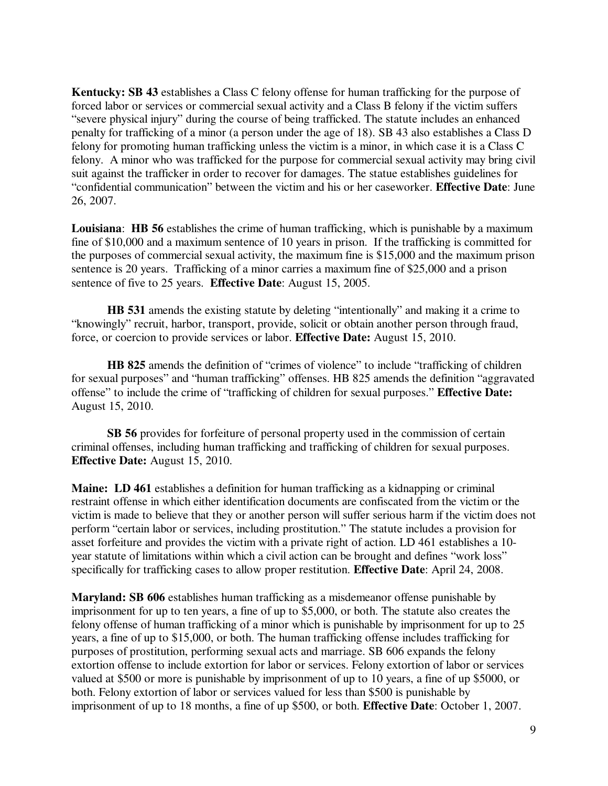**Kentucky: SB 43** establishes a Class C felony offense for human trafficking for the purpose of forced labor or services or commercial sexual activity and a Class B felony if the victim suffers "severe physical injury" during the course of being trafficked. The statute includes an enhanced penalty for trafficking of a minor (a person under the age of 18). SB 43 also establishes a Class D felony for promoting human trafficking unless the victim is a minor, in which case it is a Class C felony. A minor who was trafficked for the purpose for commercial sexual activity may bring civil suit against the trafficker in order to recover for damages. The statue establishes guidelines for "confidential communication" between the victim and his or her caseworker. **Effective Date**: June 26, 2007.

**Louisiana**: **HB 56** establishes the crime of human trafficking, which is punishable by a maximum fine of \$10,000 and a maximum sentence of 10 years in prison. If the trafficking is committed for the purposes of commercial sexual activity, the maximum fine is \$15,000 and the maximum prison sentence is 20 years. Trafficking of a minor carries a maximum fine of \$25,000 and a prison sentence of five to 25 years. **Effective Date**: August 15, 2005.

 **HB 531** amends the existing statute by deleting "intentionally" and making it a crime to "knowingly" recruit, harbor, transport, provide, solicit or obtain another person through fraud, force, or coercion to provide services or labor. **Effective Date:** August 15, 2010.

 **HB 825** amends the definition of "crimes of violence" to include "trafficking of children for sexual purposes" and "human trafficking" offenses. HB 825 amends the definition "aggravated offense" to include the crime of "trafficking of children for sexual purposes." **Effective Date:**  August 15, 2010.

 **SB 56** provides for forfeiture of personal property used in the commission of certain criminal offenses, including human trafficking and trafficking of children for sexual purposes. **Effective Date:** August 15, 2010.

**Maine: LD 461** establishes a definition for human trafficking as a kidnapping or criminal restraint offense in which either identification documents are confiscated from the victim or the victim is made to believe that they or another person will suffer serious harm if the victim does not perform "certain labor or services, including prostitution." The statute includes a provision for asset forfeiture and provides the victim with a private right of action. LD 461 establishes a 10 year statute of limitations within which a civil action can be brought and defines "work loss" specifically for trafficking cases to allow proper restitution. **Effective Date**: April 24, 2008.

**Maryland: SB 606** establishes human trafficking as a misdemeanor offense punishable by imprisonment for up to ten years, a fine of up to \$5,000, or both. The statute also creates the felony offense of human trafficking of a minor which is punishable by imprisonment for up to 25 years, a fine of up to \$15,000, or both. The human trafficking offense includes trafficking for purposes of prostitution, performing sexual acts and marriage. SB 606 expands the felony extortion offense to include extortion for labor or services. Felony extortion of labor or services valued at \$500 or more is punishable by imprisonment of up to 10 years, a fine of up \$5000, or both. Felony extortion of labor or services valued for less than \$500 is punishable by imprisonment of up to 18 months, a fine of up \$500, or both. **Effective Date**: October 1, 2007.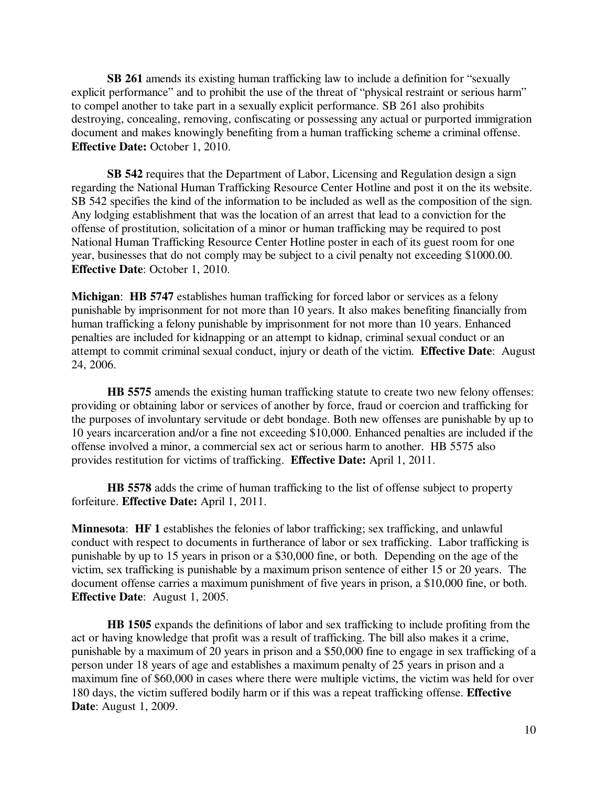**SB 261** amends its existing human trafficking law to include a definition for "sexually explicit performance" and to prohibit the use of the threat of "physical restraint or serious harm" to compel another to take part in a sexually explicit performance. SB 261 also prohibits destroying, concealing, removing, confiscating or possessing any actual or purported immigration document and makes knowingly benefiting from a human trafficking scheme a criminal offense. **Effective Date:** October 1, 2010.

 **SB 542** requires that the Department of Labor, Licensing and Regulation design a sign regarding the National Human Trafficking Resource Center Hotline and post it on the its website. SB 542 specifies the kind of the information to be included as well as the composition of the sign. Any lodging establishment that was the location of an arrest that lead to a conviction for the offense of prostitution, solicitation of a minor or human trafficking may be required to post National Human Trafficking Resource Center Hotline poster in each of its guest room for one year, businesses that do not comply may be subject to a civil penalty not exceeding \$1000.00. **Effective Date**: October 1, 2010.

**Michigan**: **HB 5747** establishes human trafficking for forced labor or services as a felony punishable by imprisonment for not more than 10 years. It also makes benefiting financially from human trafficking a felony punishable by imprisonment for not more than 10 years. Enhanced penalties are included for kidnapping or an attempt to kidnap, criminal sexual conduct or an attempt to commit criminal sexual conduct, injury or death of the victim. **Effective Date**: August 24, 2006.

 **HB 5575** amends the existing human trafficking statute to create two new felony offenses: providing or obtaining labor or services of another by force, fraud or coercion and trafficking for the purposes of involuntary servitude or debt bondage. Both new offenses are punishable by up to 10 years incarceration and/or a fine not exceeding \$10,000. Enhanced penalties are included if the offense involved a minor, a commercial sex act or serious harm to another. HB 5575 also provides restitution for victims of trafficking. **Effective Date:** April 1, 2011.

 **HB 5578** adds the crime of human trafficking to the list of offense subject to property forfeiture. **Effective Date:** April 1, 2011.

**Minnesota**: **HF 1** establishes the felonies of labor trafficking; sex trafficking, and unlawful conduct with respect to documents in furtherance of labor or sex trafficking. Labor trafficking is punishable by up to 15 years in prison or a \$30,000 fine, or both. Depending on the age of the victim, sex trafficking is punishable by a maximum prison sentence of either 15 or 20 years. The document offense carries a maximum punishment of five years in prison, a \$10,000 fine, or both. **Effective Date**:August 1, 2005.

 **HB 1505** expands the definitions of labor and sex trafficking to include profiting from the act or having knowledge that profit was a result of trafficking. The bill also makes it a crime, punishable by a maximum of 20 years in prison and a \$50,000 fine to engage in sex trafficking of a person under 18 years of age and establishes a maximum penalty of 25 years in prison and a maximum fine of \$60,000 in cases where there were multiple victims, the victim was held for over 180 days, the victim suffered bodily harm or if this was a repeat trafficking offense. **Effective Date**: August 1, 2009.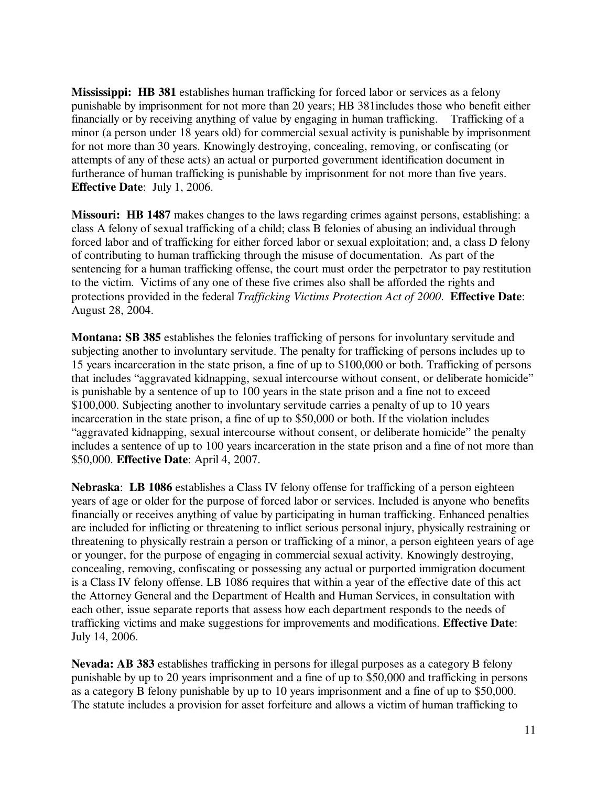**Mississippi: HB 381** establishes human trafficking for forced labor or services as a felony punishable by imprisonment for not more than 20 years; HB 381includes those who benefit either financially or by receiving anything of value by engaging in human trafficking. Trafficking of a minor (a person under 18 years old) for commercial sexual activity is punishable by imprisonment for not more than 30 years. Knowingly destroying, concealing, removing, or confiscating (or attempts of any of these acts) an actual or purported government identification document in furtherance of human trafficking is punishable by imprisonment for not more than five years. **Effective Date**: July 1, 2006.

**Missouri: HB 1487** makes changes to the laws regarding crimes against persons, establishing: a class A felony of sexual trafficking of a child; class B felonies of abusing an individual through forced labor and of trafficking for either forced labor or sexual exploitation; and, a class D felony of contributing to human trafficking through the misuse of documentation. As part of the sentencing for a human trafficking offense, the court must order the perpetrator to pay restitution to the victim. Victims of any one of these five crimes also shall be afforded the rights and protections provided in the federal *Trafficking Victims Protection Act of 2000*. **Effective Date**: August 28, 2004.

**Montana: SB 385** establishes the felonies trafficking of persons for involuntary servitude and subjecting another to involuntary servitude. The penalty for trafficking of persons includes up to 15 years incarceration in the state prison, a fine of up to \$100,000 or both. Trafficking of persons that includes "aggravated kidnapping, sexual intercourse without consent, or deliberate homicide" is punishable by a sentence of up to 100 years in the state prison and a fine not to exceed \$100,000. Subjecting another to involuntary servitude carries a penalty of up to 10 years incarceration in the state prison, a fine of up to \$50,000 or both. If the violation includes "aggravated kidnapping, sexual intercourse without consent, or deliberate homicide" the penalty includes a sentence of up to 100 years incarceration in the state prison and a fine of not more than \$50,000. **Effective Date**: April 4, 2007.

**Nebraska**: **LB 1086** establishes a Class IV felony offense for trafficking of a person eighteen years of age or older for the purpose of forced labor or services. Included is anyone who benefits financially or receives anything of value by participating in human trafficking. Enhanced penalties are included for inflicting or threatening to inflict serious personal injury, physically restraining or threatening to physically restrain a person or trafficking of a minor, a person eighteen years of age or younger, for the purpose of engaging in commercial sexual activity. Knowingly destroying, concealing, removing, confiscating or possessing any actual or purported immigration document is a Class IV felony offense. LB 1086 requires that within a year of the effective date of this act the Attorney General and the Department of Health and Human Services, in consultation with each other, issue separate reports that assess how each department responds to the needs of trafficking victims and make suggestions for improvements and modifications. **Effective Date**: July 14, 2006.

**Nevada: AB 383** establishes trafficking in persons for illegal purposes as a category B felony punishable by up to 20 years imprisonment and a fine of up to \$50,000 and trafficking in persons as a category B felony punishable by up to 10 years imprisonment and a fine of up to \$50,000. The statute includes a provision for asset forfeiture and allows a victim of human trafficking to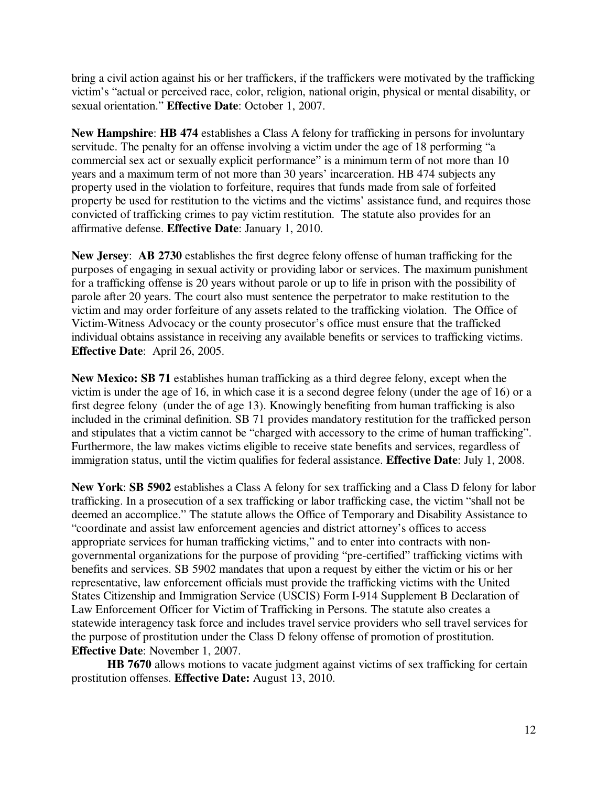bring a civil action against his or her traffickers, if the traffickers were motivated by the trafficking victim's "actual or perceived race, color, religion, national origin, physical or mental disability, or sexual orientation." **Effective Date**: October 1, 2007.

**New Hampshire**: **HB 474** establishes a Class A felony for trafficking in persons for involuntary servitude. The penalty for an offense involving a victim under the age of 18 performing "a commercial sex act or sexually explicit performance" is a minimum term of not more than 10 years and a maximum term of not more than 30 years' incarceration. HB 474 subjects any property used in the violation to forfeiture, requires that funds made from sale of forfeited property be used for restitution to the victims and the victims' assistance fund, and requires those convicted of trafficking crimes to pay victim restitution. The statute also provides for an affirmative defense. **Effective Date**: January 1, 2010.

**New Jersey**: **AB 2730** establishes the first degree felony offense of human trafficking for the purposes of engaging in sexual activity or providing labor or services. The maximum punishment for a trafficking offense is 20 years without parole or up to life in prison with the possibility of parole after 20 years. The court also must sentence the perpetrator to make restitution to the victim and may order forfeiture of any assets related to the trafficking violation. The Office of Victim-Witness Advocacy or the county prosecutor's office must ensure that the trafficked individual obtains assistance in receiving any available benefits or services to trafficking victims. **Effective Date**:April 26, 2005.

**New Mexico: SB 71** establishes human trafficking as a third degree felony, except when the victim is under the age of 16, in which case it is a second degree felony (under the age of 16) or a first degree felony (under the of age 13). Knowingly benefiting from human trafficking is also included in the criminal definition. SB 71 provides mandatory restitution for the trafficked person and stipulates that a victim cannot be "charged with accessory to the crime of human trafficking". Furthermore, the law makes victims eligible to receive state benefits and services, regardless of immigration status, until the victim qualifies for federal assistance. **Effective Date**: July 1, 2008.

**New York**: **SB 5902** establishes a Class A felony for sex trafficking and a Class D felony for labor trafficking. In a prosecution of a sex trafficking or labor trafficking case, the victim "shall not be deemed an accomplice." The statute allows the Office of Temporary and Disability Assistance to "coordinate and assist law enforcement agencies and district attorney's offices to access appropriate services for human trafficking victims," and to enter into contracts with nongovernmental organizations for the purpose of providing "pre-certified" trafficking victims with benefits and services. SB 5902 mandates that upon a request by either the victim or his or her representative, law enforcement officials must provide the trafficking victims with the United States Citizenship and Immigration Service (USCIS) Form I-914 Supplement B Declaration of Law Enforcement Officer for Victim of Trafficking in Persons. The statute also creates a statewide interagency task force and includes travel service providers who sell travel services for the purpose of prostitution under the Class D felony offense of promotion of prostitution. **Effective Date**: November 1, 2007.

 **HB 7670** allows motions to vacate judgment against victims of sex trafficking for certain prostitution offenses. **Effective Date:** August 13, 2010.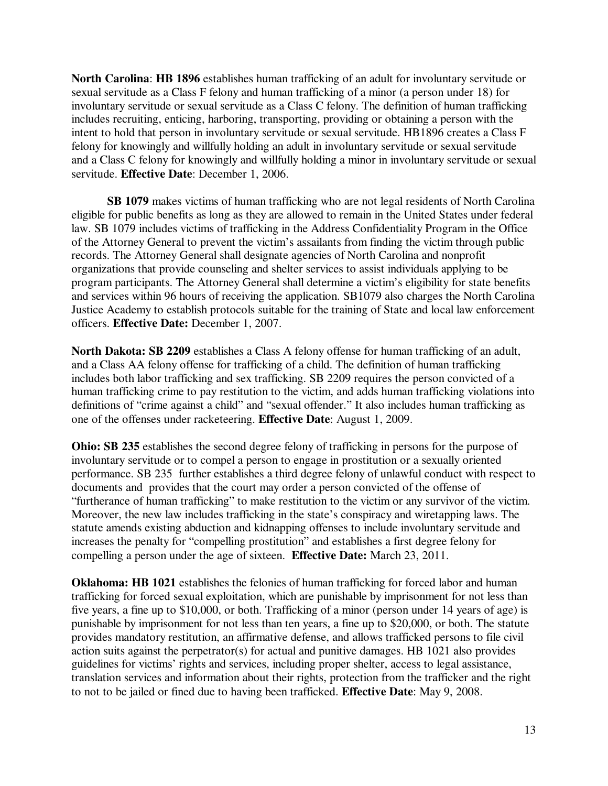**North Carolina**: **HB 1896** establishes human trafficking of an adult for involuntary servitude or sexual servitude as a Class F felony and human trafficking of a minor (a person under 18) for involuntary servitude or sexual servitude as a Class C felony. The definition of human trafficking includes recruiting, enticing, harboring, transporting, providing or obtaining a person with the intent to hold that person in involuntary servitude or sexual servitude. HB1896 creates a Class F felony for knowingly and willfully holding an adult in involuntary servitude or sexual servitude and a Class C felony for knowingly and willfully holding a minor in involuntary servitude or sexual servitude. **Effective Date**: December 1, 2006.

 **SB 1079** makes victims of human trafficking who are not legal residents of North Carolina eligible for public benefits as long as they are allowed to remain in the United States under federal law. SB 1079 includes victims of trafficking in the Address Confidentiality Program in the Office of the Attorney General to prevent the victim's assailants from finding the victim through public records. The Attorney General shall designate agencies of North Carolina and nonprofit organizations that provide counseling and shelter services to assist individuals applying to be program participants. The Attorney General shall determine a victim's eligibility for state benefits and services within 96 hours of receiving the application. SB1079 also charges the North Carolina Justice Academy to establish protocols suitable for the training of State and local law enforcement officers. **Effective Date:** December 1, 2007.

**North Dakota: SB 2209** establishes a Class A felony offense for human trafficking of an adult, and a Class AA felony offense for trafficking of a child. The definition of human trafficking includes both labor trafficking and sex trafficking. SB 2209 requires the person convicted of a human trafficking crime to pay restitution to the victim, and adds human trafficking violations into definitions of "crime against a child" and "sexual offender." It also includes human trafficking as one of the offenses under racketeering. **Effective Date**: August 1, 2009.

**Ohio: SB 235** establishes the second degree felony of trafficking in persons for the purpose of involuntary servitude or to compel a person to engage in prostitution or a sexually oriented performance. SB 235 further establishes a third degree felony of unlawful conduct with respect to documents and provides that the court may order a person convicted of the offense of "furtherance of human trafficking" to make restitution to the victim or any survivor of the victim. Moreover, the new law includes trafficking in the state's conspiracy and wiretapping laws. The statute amends existing abduction and kidnapping offenses to include involuntary servitude and increases the penalty for "compelling prostitution" and establishes a first degree felony for compelling a person under the age of sixteen. **Effective Date:** March 23, 2011.

**Oklahoma: HB 1021** establishes the felonies of human trafficking for forced labor and human trafficking for forced sexual exploitation, which are punishable by imprisonment for not less than five years, a fine up to \$10,000, or both. Trafficking of a minor (person under 14 years of age) is punishable by imprisonment for not less than ten years, a fine up to \$20,000, or both. The statute provides mandatory restitution, an affirmative defense, and allows trafficked persons to file civil action suits against the perpetrator(s) for actual and punitive damages. HB 1021 also provides guidelines for victims' rights and services, including proper shelter, access to legal assistance, translation services and information about their rights, protection from the trafficker and the right to not to be jailed or fined due to having been trafficked. **Effective Date**: May 9, 2008.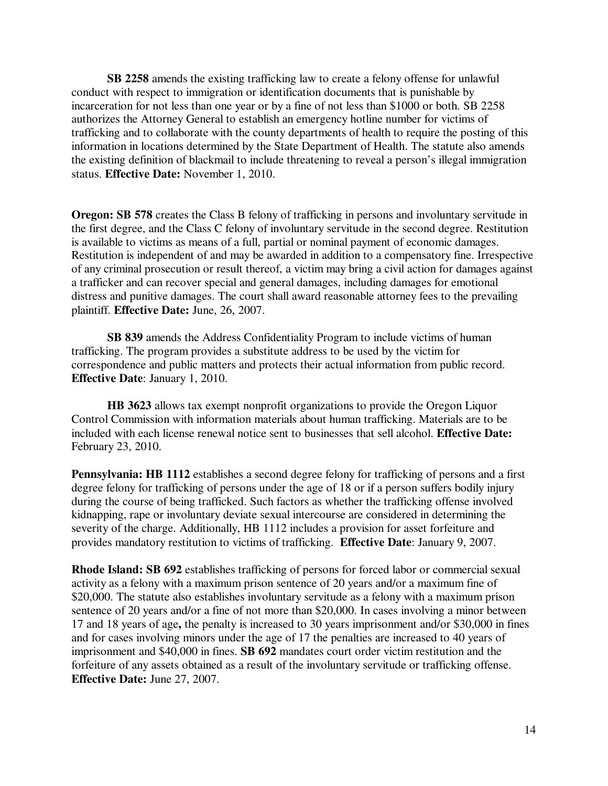**SB 2258** amends the existing trafficking law to create a felony offense for unlawful conduct with respect to immigration or identification documents that is punishable by incarceration for not less than one year or by a fine of not less than \$1000 or both. SB 2258 authorizes the Attorney General to establish an emergency hotline number for victims of trafficking and to collaborate with the county departments of health to require the posting of this information in locations determined by the State Department of Health. The statute also amends the existing definition of blackmail to include threatening to reveal a person's illegal immigration status. **Effective Date:** November 1, 2010.

**Oregon: SB 578** creates the Class B felony of trafficking in persons and involuntary servitude in the first degree, and the Class C felony of involuntary servitude in the second degree. Restitution is available to victims as means of a full, partial or nominal payment of economic damages. Restitution is independent of and may be awarded in addition to a compensatory fine. Irrespective of any criminal prosecution or result thereof, a victim may bring a civil action for damages against a trafficker and can recover special and general damages, including damages for emotional distress and punitive damages. The court shall award reasonable attorney fees to the prevailing plaintiff. **Effective Date:** June, 26, 2007.

**SB 839** amends the Address Confidentiality Program to include victims of human trafficking. The program provides a substitute address to be used by the victim for correspondence and public matters and protects their actual information from public record. **Effective Date**: January 1, 2010.

 **HB 3623** allows tax exempt nonprofit organizations to provide the Oregon Liquor Control Commission with information materials about human trafficking. Materials are to be included with each license renewal notice sent to businesses that sell alcohol. **Effective Date:**  February 23, 2010.

**Pennsylvania: HB 1112** establishes a second degree felony for trafficking of persons and a first degree felony for trafficking of persons under the age of 18 or if a person suffers bodily injury during the course of being trafficked. Such factors as whether the trafficking offense involved kidnapping, rape or involuntary deviate sexual intercourse are considered in determining the severity of the charge. Additionally, HB 1112 includes a provision for asset forfeiture and provides mandatory restitution to victims of trafficking. **Effective Date**: January 9, 2007.

**Rhode Island: SB 692** establishes trafficking of persons for forced labor or commercial sexual activity as a felony with a maximum prison sentence of 20 years and/or a maximum fine of \$20,000. The statute also establishes involuntary servitude as a felony with a maximum prison sentence of 20 years and/or a fine of not more than \$20,000. In cases involving a minor between 17 and 18 years of age**,** the penalty is increased to 30 years imprisonment and/or \$30,000 in fines and for cases involving minors under the age of 17 the penalties are increased to 40 years of imprisonment and \$40,000 in fines. **SB 692** mandates court order victim restitution and the forfeiture of any assets obtained as a result of the involuntary servitude or trafficking offense. **Effective Date:** June 27, 2007.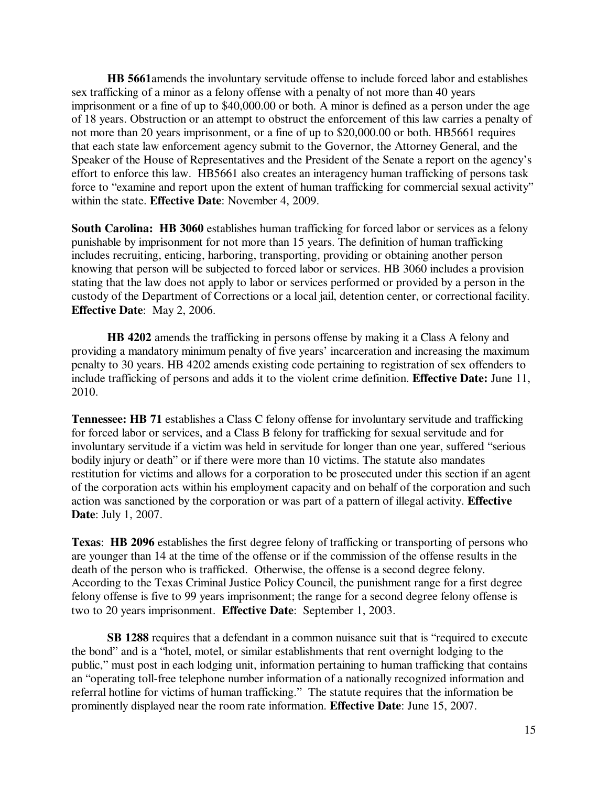**HB 5661**amends the involuntary servitude offense to include forced labor and establishes sex trafficking of a minor as a felony offense with a penalty of not more than 40 years imprisonment or a fine of up to \$40,000.00 or both. A minor is defined as a person under the age of 18 years. Obstruction or an attempt to obstruct the enforcement of this law carries a penalty of not more than 20 years imprisonment, or a fine of up to \$20,000.00 or both. HB5661 requires that each state law enforcement agency submit to the Governor, the Attorney General, and the Speaker of the House of Representatives and the President of the Senate a report on the agency's effort to enforce this law. HB5661 also creates an interagency human trafficking of persons task force to "examine and report upon the extent of human trafficking for commercial sexual activity" within the state. **Effective Date**: November 4, 2009.

**South Carolina: HB 3060** establishes human trafficking for forced labor or services as a felony punishable by imprisonment for not more than 15 years. The definition of human trafficking includes recruiting, enticing, harboring, transporting, providing or obtaining another person knowing that person will be subjected to forced labor or services. HB 3060 includes a provision stating that the law does not apply to labor or services performed or provided by a person in the custody of the Department of Corrections or a local jail, detention center, or correctional facility. **Effective Date**: May 2, 2006.

 **HB 4202** amends the trafficking in persons offense by making it a Class A felony and providing a mandatory minimum penalty of five years' incarceration and increasing the maximum penalty to 30 years. HB 4202 amends existing code pertaining to registration of sex offenders to include trafficking of persons and adds it to the violent crime definition. **Effective Date:** June 11, 2010.

**Tennessee: HB 71** establishes a Class C felony offense for involuntary servitude and trafficking for forced labor or services, and a Class B felony for trafficking for sexual servitude and for involuntary servitude if a victim was held in servitude for longer than one year, suffered "serious bodily injury or death" or if there were more than 10 victims. The statute also mandates restitution for victims and allows for a corporation to be prosecuted under this section if an agent of the corporation acts within his employment capacity and on behalf of the corporation and such action was sanctioned by the corporation or was part of a pattern of illegal activity. **Effective Date**: July 1, 2007.

**Texas**: **HB 2096** establishes the first degree felony of trafficking or transporting of persons who are younger than 14 at the time of the offense or if the commission of the offense results in the death of the person who is trafficked. Otherwise, the offense is a second degree felony. According to the Texas Criminal Justice Policy Council, the punishment range for a first degree felony offense is five to 99 years imprisonment; the range for a second degree felony offense is two to 20 years imprisonment. **Effective Date**: September 1, 2003.

 **SB 1288** requires that a defendant in a common nuisance suit that is "required to execute the bond" and is a "hotel, motel, or similar establishments that rent overnight lodging to the public," must post in each lodging unit, information pertaining to human trafficking that contains an "operating toll-free telephone number information of a nationally recognized information and referral hotline for victims of human trafficking." The statute requires that the information be prominently displayed near the room rate information. **Effective Date**: June 15, 2007.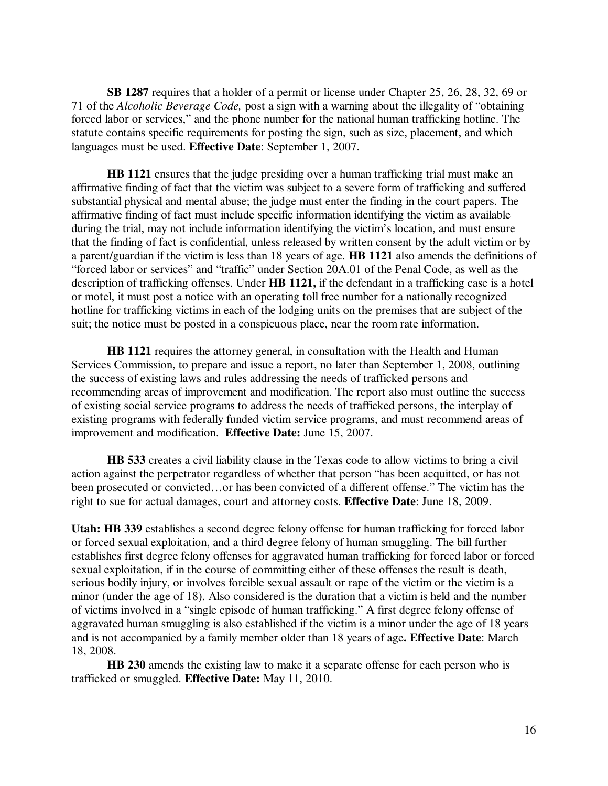**SB 1287** requires that a holder of a permit or license under Chapter 25, 26, 28, 32, 69 or 71 of the *Alcoholic Beverage Code,* post a sign with a warning about the illegality of "obtaining forced labor or services," and the phone number for the national human trafficking hotline. The statute contains specific requirements for posting the sign, such as size, placement, and which languages must be used. **Effective Date**: September 1, 2007.

**HB 1121** ensures that the judge presiding over a human trafficking trial must make an affirmative finding of fact that the victim was subject to a severe form of trafficking and suffered substantial physical and mental abuse; the judge must enter the finding in the court papers. The affirmative finding of fact must include specific information identifying the victim as available during the trial, may not include information identifying the victim's location, and must ensure that the finding of fact is confidential, unless released by written consent by the adult victim or by a parent/guardian if the victim is less than 18 years of age. **HB 1121** also amends the definitions of "forced labor or services" and "traffic" under Section 20A.01 of the Penal Code, as well as the description of trafficking offenses. Under **HB 1121,** if the defendant in a trafficking case is a hotel or motel, it must post a notice with an operating toll free number for a nationally recognized hotline for trafficking victims in each of the lodging units on the premises that are subject of the suit; the notice must be posted in a conspicuous place, near the room rate information.

**HB 1121** requires the attorney general, in consultation with the Health and Human Services Commission, to prepare and issue a report, no later than September 1, 2008, outlining the success of existing laws and rules addressing the needs of trafficked persons and recommending areas of improvement and modification. The report also must outline the success of existing social service programs to address the needs of trafficked persons, the interplay of existing programs with federally funded victim service programs, and must recommend areas of improvement and modification. **Effective Date:** June 15, 2007.

**HB 533** creates a civil liability clause in the Texas code to allow victims to bring a civil action against the perpetrator regardless of whether that person "has been acquitted, or has not been prosecuted or convicted…or has been convicted of a different offense." The victim has the right to sue for actual damages, court and attorney costs. **Effective Date**: June 18, 2009.

**Utah: HB 339** establishes a second degree felony offense for human trafficking for forced labor or forced sexual exploitation, and a third degree felony of human smuggling. The bill further establishes first degree felony offenses for aggravated human trafficking for forced labor or forced sexual exploitation, if in the course of committing either of these offenses the result is death, serious bodily injury, or involves forcible sexual assault or rape of the victim or the victim is a minor (under the age of 18). Also considered is the duration that a victim is held and the number of victims involved in a "single episode of human trafficking." A first degree felony offense of aggravated human smuggling is also established if the victim is a minor under the age of 18 years and is not accompanied by a family member older than 18 years of age**. Effective Date**: March 18, 2008.

 **HB 230** amends the existing law to make it a separate offense for each person who is trafficked or smuggled. **Effective Date:** May 11, 2010.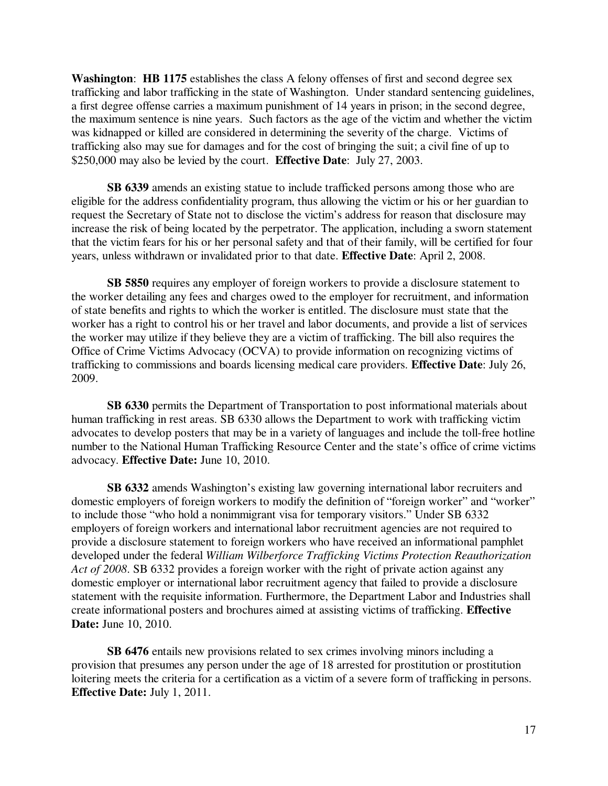**Washington**: **HB 1175** establishes the class A felony offenses of first and second degree sex trafficking and labor trafficking in the state of Washington. Under standard sentencing guidelines, a first degree offense carries a maximum punishment of 14 years in prison; in the second degree, the maximum sentence is nine years. Such factors as the age of the victim and whether the victim was kidnapped or killed are considered in determining the severity of the charge. Victims of trafficking also may sue for damages and for the cost of bringing the suit; a civil fine of up to \$250,000 may also be levied by the court. **Effective Date**: July 27, 2003.

 **SB 6339** amends an existing statue to include trafficked persons among those who are eligible for the address confidentiality program, thus allowing the victim or his or her guardian to request the Secretary of State not to disclose the victim's address for reason that disclosure may increase the risk of being located by the perpetrator. The application, including a sworn statement that the victim fears for his or her personal safety and that of their family, will be certified for four years, unless withdrawn or invalidated prior to that date. **Effective Date**: April 2, 2008.

 **SB 5850** requires any employer of foreign workers to provide a disclosure statement to the worker detailing any fees and charges owed to the employer for recruitment, and information of state benefits and rights to which the worker is entitled. The disclosure must state that the worker has a right to control his or her travel and labor documents, and provide a list of services the worker may utilize if they believe they are a victim of trafficking. The bill also requires the Office of Crime Victims Advocacy (OCVA) to provide information on recognizing victims of trafficking to commissions and boards licensing medical care providers. **Effective Date**: July 26, 2009.

 **SB 6330** permits the Department of Transportation to post informational materials about human trafficking in rest areas. SB 6330 allows the Department to work with trafficking victim advocates to develop posters that may be in a variety of languages and include the toll-free hotline number to the National Human Trafficking Resource Center and the state's office of crime victims advocacy. **Effective Date:** June 10, 2010.

 **SB 6332** amends Washington's existing law governing international labor recruiters and domestic employers of foreign workers to modify the definition of "foreign worker" and "worker" to include those "who hold a nonimmigrant visa for temporary visitors." Under SB 6332 employers of foreign workers and international labor recruitment agencies are not required to provide a disclosure statement to foreign workers who have received an informational pamphlet developed under the federal *William Wilberforce Trafficking Victims Protection Reauthorization Act of 2008*. SB 6332 provides a foreign worker with the right of private action against any domestic employer or international labor recruitment agency that failed to provide a disclosure statement with the requisite information. Furthermore, the Department Labor and Industries shall create informational posters and brochures aimed at assisting victims of trafficking. **Effective Date:** June 10, 2010.

 **SB 6476** entails new provisions related to sex crimes involving minors including a provision that presumes any person under the age of 18 arrested for prostitution or prostitution loitering meets the criteria for a certification as a victim of a severe form of trafficking in persons. **Effective Date:** July 1, 2011.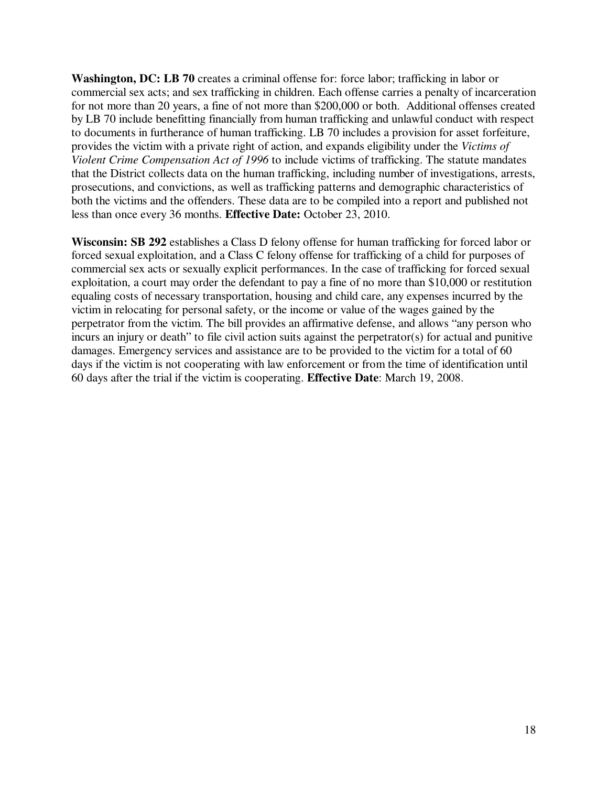**Washington, DC: LB 70** creates a criminal offense for: force labor; trafficking in labor or commercial sex acts; and sex trafficking in children. Each offense carries a penalty of incarceration for not more than 20 years, a fine of not more than \$200,000 or both. Additional offenses created by LB 70 include benefitting financially from human trafficking and unlawful conduct with respect to documents in furtherance of human trafficking. LB 70 includes a provision for asset forfeiture, provides the victim with a private right of action, and expands eligibility under the *Victims of Violent Crime Compensation Act of 1996* to include victims of trafficking. The statute mandates that the District collects data on the human trafficking, including number of investigations, arrests, prosecutions, and convictions, as well as trafficking patterns and demographic characteristics of both the victims and the offenders. These data are to be compiled into a report and published not less than once every 36 months. **Effective Date:** October 23, 2010.

**Wisconsin: SB 292** establishes a Class D felony offense for human trafficking for forced labor or forced sexual exploitation, and a Class C felony offense for trafficking of a child for purposes of commercial sex acts or sexually explicit performances. In the case of trafficking for forced sexual exploitation, a court may order the defendant to pay a fine of no more than \$10,000 or restitution equaling costs of necessary transportation, housing and child care, any expenses incurred by the victim in relocating for personal safety, or the income or value of the wages gained by the perpetrator from the victim. The bill provides an affirmative defense, and allows "any person who incurs an injury or death" to file civil action suits against the perpetrator(s) for actual and punitive damages. Emergency services and assistance are to be provided to the victim for a total of 60 days if the victim is not cooperating with law enforcement or from the time of identification until 60 days after the trial if the victim is cooperating. **Effective Date**: March 19, 2008.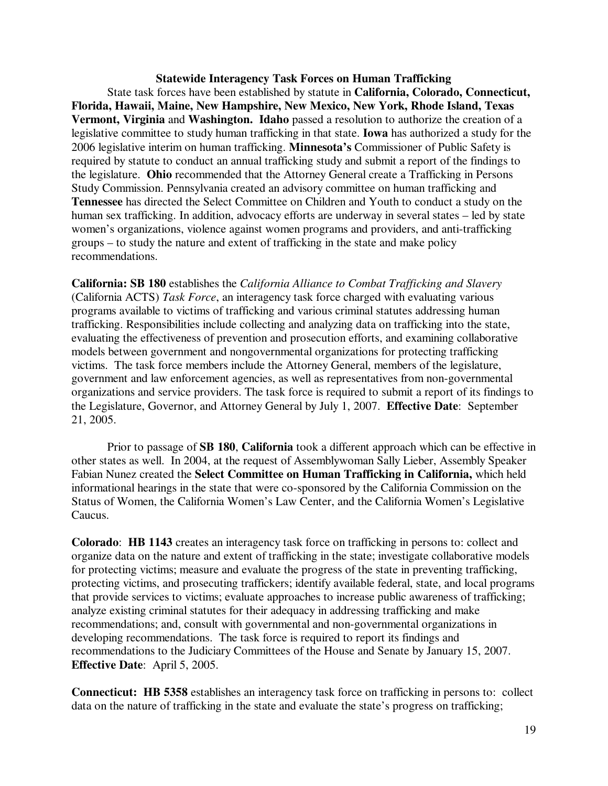## **Statewide Interagency Task Forces on Human Trafficking**  State task forces have been established by statute in **California, Colorado, Connecticut, Florida, Hawaii, Maine, New Hampshire, New Mexico, New York, Rhode Island, Texas Vermont, Virginia** and **Washington. Idaho** passed a resolution to authorize the creation of a legislative committee to study human trafficking in that state. **Iowa** has authorized a study for the 2006 legislative interim on human trafficking. **Minnesota's** Commissioner of Public Safety is required by statute to conduct an annual trafficking study and submit a report of the findings to the legislature. **Ohio** recommended that the Attorney General create a Trafficking in Persons Study Commission. Pennsylvania created an advisory committee on human trafficking and **Tennessee** has directed the Select Committee on Children and Youth to conduct a study on the human sex trafficking. In addition, advocacy efforts are underway in several states – led by state women's organizations, violence against women programs and providers, and anti-trafficking groups – to study the nature and extent of trafficking in the state and make policy recommendations.

**California: SB 180** establishes the *California Alliance to Combat Trafficking and Slavery* (California ACTS) *Task Force*, an interagency task force charged with evaluating various programs available to victims of trafficking and various criminal statutes addressing human trafficking. Responsibilities include collecting and analyzing data on trafficking into the state, evaluating the effectiveness of prevention and prosecution efforts, and examining collaborative models between government and nongovernmental organizations for protecting trafficking victims. The task force members include the Attorney General, members of the legislature, government and law enforcement agencies, as well as representatives from non-governmental organizations and service providers. The task force is required to submit a report of its findings to the Legislature, Governor, and Attorney General by July 1, 2007. **Effective Date**: September 21, 2005.

Prior to passage of **SB 180**, **California** took a different approach which can be effective in other states as well. In 2004, at the request of Assemblywoman Sally Lieber, Assembly Speaker Fabian Nunez created the **Select Committee on Human Trafficking in California,** which held informational hearings in the state that were co-sponsored by the California Commission on the Status of Women, the California Women's Law Center, and the California Women's Legislative Caucus.

**Colorado**: **HB 1143** creates an interagency task force on trafficking in persons to: collect and organize data on the nature and extent of trafficking in the state; investigate collaborative models for protecting victims; measure and evaluate the progress of the state in preventing trafficking, protecting victims, and prosecuting traffickers; identify available federal, state, and local programs that provide services to victims; evaluate approaches to increase public awareness of trafficking; analyze existing criminal statutes for their adequacy in addressing trafficking and make recommendations; and, consult with governmental and non-governmental organizations in developing recommendations. The task force is required to report its findings and recommendations to the Judiciary Committees of the House and Senate by January 15, 2007. **Effective Date**: April 5, 2005.

**Connecticut: HB 5358** establishes an interagency task force on trafficking in persons to: collect data on the nature of trafficking in the state and evaluate the state's progress on trafficking;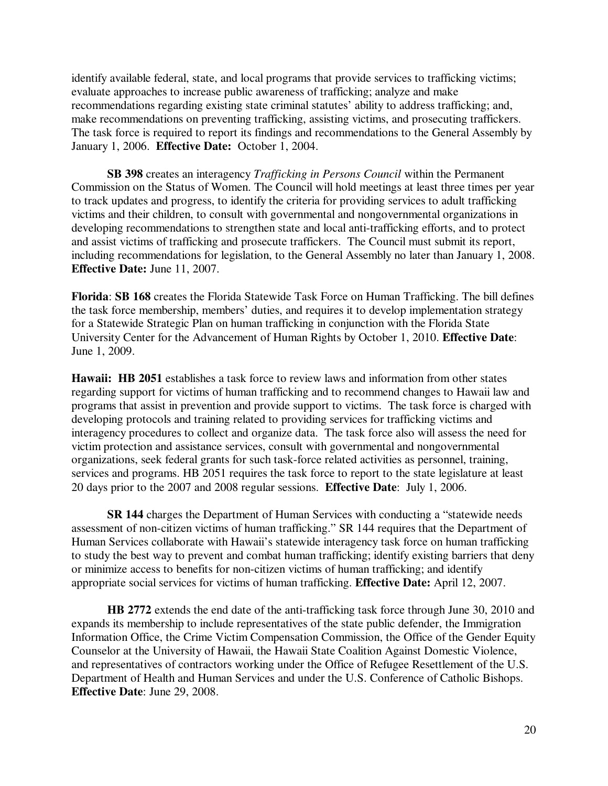identify available federal, state, and local programs that provide services to trafficking victims; evaluate approaches to increase public awareness of trafficking; analyze and make recommendations regarding existing state criminal statutes' ability to address trafficking; and, make recommendations on preventing trafficking, assisting victims, and prosecuting traffickers. The task force is required to report its findings and recommendations to the General Assembly by January 1, 2006. **Effective Date:** October 1, 2004.

**SB 398** creates an interagency *Trafficking in Persons Council* within the Permanent Commission on the Status of Women. The Council will hold meetings at least three times per year to track updates and progress, to identify the criteria for providing services to adult trafficking victims and their children, to consult with governmental and nongovernmental organizations in developing recommendations to strengthen state and local anti-trafficking efforts, and to protect and assist victims of trafficking and prosecute traffickers. The Council must submit its report, including recommendations for legislation, to the General Assembly no later than January 1, 2008. **Effective Date:** June 11, 2007.

**Florida**: **SB 168** creates the Florida Statewide Task Force on Human Trafficking. The bill defines the task force membership, members' duties, and requires it to develop implementation strategy for a Statewide Strategic Plan on human trafficking in conjunction with the Florida State University Center for the Advancement of Human Rights by October 1, 2010. **Effective Date**: June 1, 2009.

**Hawaii: HB 2051** establishes a task force to review laws and information from other states regarding support for victims of human trafficking and to recommend changes to Hawaii law and programs that assist in prevention and provide support to victims. The task force is charged with developing protocols and training related to providing services for trafficking victims and interagency procedures to collect and organize data. The task force also will assess the need for victim protection and assistance services, consult with governmental and nongovernmental organizations, seek federal grants for such task-force related activities as personnel, training, services and programs. HB 2051 requires the task force to report to the state legislature at least 20 days prior to the 2007 and 2008 regular sessions. **Effective Date**: July 1, 2006.

 **SR 144** charges the Department of Human Services with conducting a "statewide needs assessment of non-citizen victims of human trafficking." SR 144 requires that the Department of Human Services collaborate with Hawaii's statewide interagency task force on human trafficking to study the best way to prevent and combat human trafficking; identify existing barriers that deny or minimize access to benefits for non-citizen victims of human trafficking; and identify appropriate social services for victims of human trafficking. **Effective Date:** April 12, 2007.

**HB 2772** extends the end date of the anti-trafficking task force through June 30, 2010 and expands its membership to include representatives of the state public defender, the Immigration Information Office, the Crime Victim Compensation Commission, the Office of the Gender Equity Counselor at the University of Hawaii, the Hawaii State Coalition Against Domestic Violence, and representatives of contractors working under the Office of Refugee Resettlement of the U.S. Department of Health and Human Services and under the U.S. Conference of Catholic Bishops. **Effective Date**: June 29, 2008.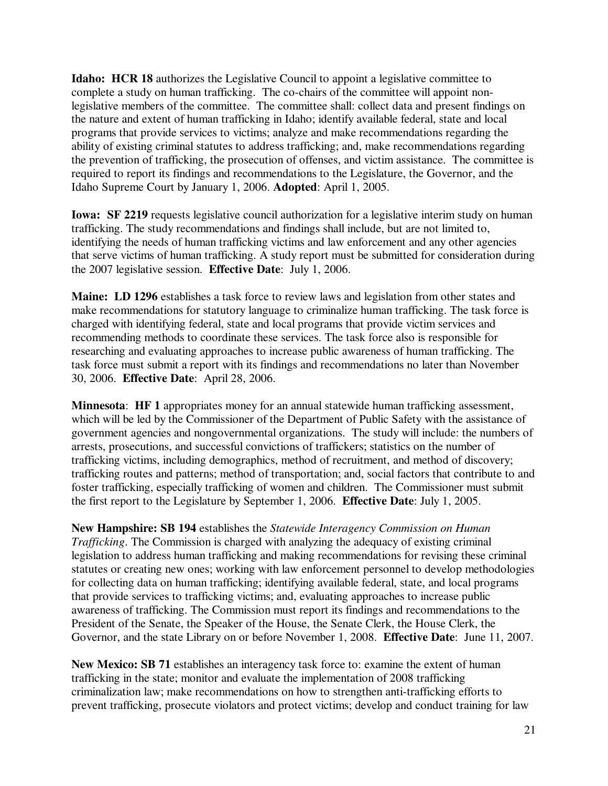**Idaho: HCR 18** authorizes the Legislative Council to appoint a legislative committee to complete a study on human trafficking. The co-chairs of the committee will appoint nonlegislative members of the committee. The committee shall: collect data and present findings on the nature and extent of human trafficking in Idaho; identify available federal, state and local programs that provide services to victims; analyze and make recommendations regarding the ability of existing criminal statutes to address trafficking; and, make recommendations regarding the prevention of trafficking, the prosecution of offenses, and victim assistance. The committee is required to report its findings and recommendations to the Legislature, the Governor, and the Idaho Supreme Court by January 1, 2006. **Adopted**: April 1, 2005.

**Iowa:** SF 2219 requests legislative council authorization for a legislative interim study on human trafficking. The study recommendations and findings shall include, but are not limited to, identifying the needs of human trafficking victims and law enforcement and any other agencies that serve victims of human trafficking. A study report must be submitted for consideration during the 2007 legislative session. **Effective Date**: July 1, 2006.

**Maine: LD 1296** establishes a task force to review laws and legislation from other states and make recommendations for statutory language to criminalize human trafficking. The task force is charged with identifying federal, state and local programs that provide victim services and recommending methods to coordinate these services. The task force also is responsible for researching and evaluating approaches to increase public awareness of human trafficking. The task force must submit a report with its findings and recommendations no later than November 30, 2006. **Effective Date**: April 28, 2006.

**Minnesota**: **HF 1** appropriates money for an annual statewide human trafficking assessment, which will be led by the Commissioner of the Department of Public Safety with the assistance of government agencies and nongovernmental organizations. The study will include: the numbers of arrests, prosecutions, and successful convictions of traffickers; statistics on the number of trafficking victims, including demographics, method of recruitment, and method of discovery; trafficking routes and patterns; method of transportation; and, social factors that contribute to and foster trafficking, especially trafficking of women and children. The Commissioner must submit the first report to the Legislature by September 1, 2006. **Effective Date**: July 1, 2005.

**New Hampshire: SB 194** establishes the *Statewide Interagency Commission on Human Trafficking*. The Commission is charged with analyzing the adequacy of existing criminal legislation to address human trafficking and making recommendations for revising these criminal statutes or creating new ones; working with law enforcement personnel to develop methodologies for collecting data on human trafficking; identifying available federal, state, and local programs that provide services to trafficking victims; and, evaluating approaches to increase public awareness of trafficking. The Commission must report its findings and recommendations to the President of the Senate, the Speaker of the House, the Senate Clerk, the House Clerk, the Governor, and the state Library on or before November 1, 2008. **Effective Date**: June 11, 2007.

**New Mexico: SB 71** establishes an interagency task force to: examine the extent of human trafficking in the state; monitor and evaluate the implementation of 2008 trafficking criminalization law; make recommendations on how to strengthen anti-trafficking efforts to prevent trafficking, prosecute violators and protect victims; develop and conduct training for law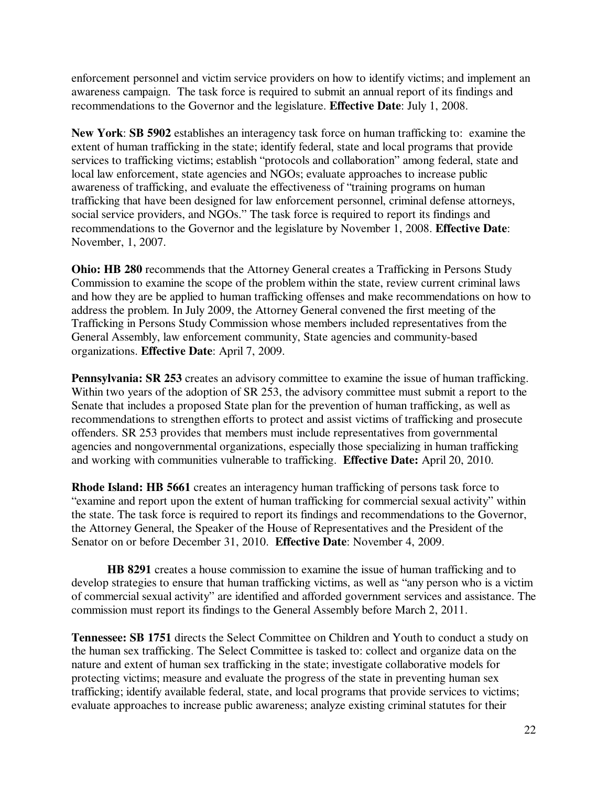enforcement personnel and victim service providers on how to identify victims; and implement an awareness campaign. The task force is required to submit an annual report of its findings and recommendations to the Governor and the legislature. **Effective Date**: July 1, 2008.

**New York**: **SB 5902** establishes an interagency task force on human trafficking to: examine the extent of human trafficking in the state; identify federal, state and local programs that provide services to trafficking victims; establish "protocols and collaboration" among federal, state and local law enforcement, state agencies and NGOs; evaluate approaches to increase public awareness of trafficking, and evaluate the effectiveness of "training programs on human trafficking that have been designed for law enforcement personnel, criminal defense attorneys, social service providers, and NGOs." The task force is required to report its findings and recommendations to the Governor and the legislature by November 1, 2008. **Effective Date**: November, 1, 2007.

**Ohio: HB 280** recommends that the Attorney General creates a Trafficking in Persons Study Commission to examine the scope of the problem within the state, review current criminal laws and how they are be applied to human trafficking offenses and make recommendations on how to address the problem. In July 2009, the Attorney General convened the first meeting of the Trafficking in Persons Study Commission whose members included representatives from the General Assembly, law enforcement community, State agencies and community-based organizations. **Effective Date**: April 7, 2009.

**Pennsylvania: SR 253** creates an advisory committee to examine the issue of human trafficking. Within two years of the adoption of SR 253, the advisory committee must submit a report to the Senate that includes a proposed State plan for the prevention of human trafficking, as well as recommendations to strengthen efforts to protect and assist victims of trafficking and prosecute offenders. SR 253 provides that members must include representatives from governmental agencies and nongovernmental organizations, especially those specializing in human trafficking and working with communities vulnerable to trafficking. **Effective Date:** April 20, 2010.

**Rhode Island: HB 5661** creates an interagency human trafficking of persons task force to "examine and report upon the extent of human trafficking for commercial sexual activity" within the state. The task force is required to report its findings and recommendations to the Governor, the Attorney General, the Speaker of the House of Representatives and the President of the Senator on or before December 31, 2010. **Effective Date**: November 4, 2009.

 **HB 8291** creates a house commission to examine the issue of human trafficking and to develop strategies to ensure that human trafficking victims, as well as "any person who is a victim of commercial sexual activity" are identified and afforded government services and assistance. The commission must report its findings to the General Assembly before March 2, 2011.

**Tennessee: SB 1751** directs the Select Committee on Children and Youth to conduct a study on the human sex trafficking. The Select Committee is tasked to: collect and organize data on the nature and extent of human sex trafficking in the state; investigate collaborative models for protecting victims; measure and evaluate the progress of the state in preventing human sex trafficking; identify available federal, state, and local programs that provide services to victims; evaluate approaches to increase public awareness; analyze existing criminal statutes for their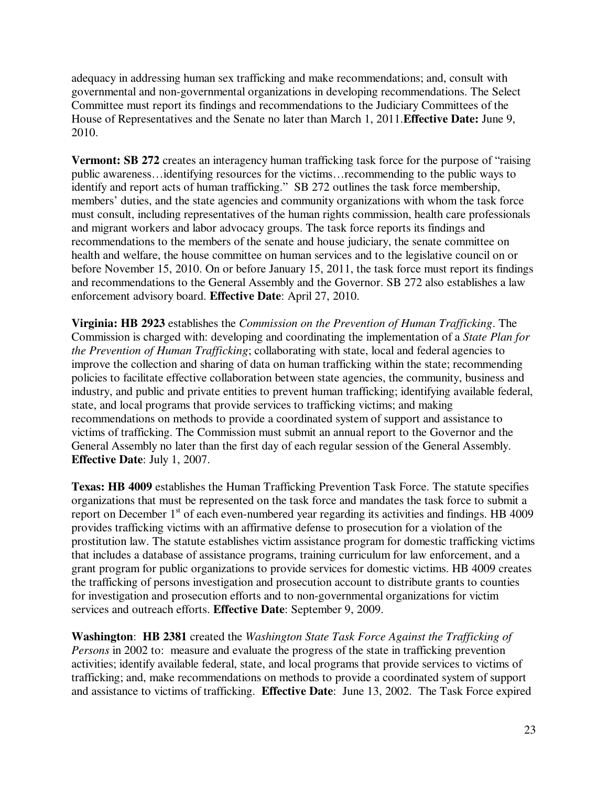adequacy in addressing human sex trafficking and make recommendations; and, consult with governmental and non-governmental organizations in developing recommendations. The Select Committee must report its findings and recommendations to the Judiciary Committees of the House of Representatives and the Senate no later than March 1, 2011.**Effective Date:** June 9, 2010.

**Vermont: SB 272** creates an interagency human trafficking task force for the purpose of "raising" public awareness…identifying resources for the victims…recommending to the public ways to identify and report acts of human trafficking." SB 272 outlines the task force membership, members' duties, and the state agencies and community organizations with whom the task force must consult, including representatives of the human rights commission, health care professionals and migrant workers and labor advocacy groups. The task force reports its findings and recommendations to the members of the senate and house judiciary, the senate committee on health and welfare, the house committee on human services and to the legislative council on or before November 15, 2010. On or before January 15, 2011, the task force must report its findings and recommendations to the General Assembly and the Governor. SB 272 also establishes a law enforcement advisory board. **Effective Date**: April 27, 2010.

**Virginia: HB 2923** establishes the *Commission on the Prevention of Human Trafficking*. The Commission is charged with: developing and coordinating the implementation of a *State Plan for the Prevention of Human Trafficking*; collaborating with state, local and federal agencies to improve the collection and sharing of data on human trafficking within the state; recommending policies to facilitate effective collaboration between state agencies, the community, business and industry, and public and private entities to prevent human trafficking; identifying available federal, state, and local programs that provide services to trafficking victims; and making recommendations on methods to provide a coordinated system of support and assistance to victims of trafficking. The Commission must submit an annual report to the Governor and the General Assembly no later than the first day of each regular session of the General Assembly. **Effective Date**: July 1, 2007.

**Texas: HB 4009** establishes the Human Trafficking Prevention Task Force. The statute specifies organizations that must be represented on the task force and mandates the task force to submit a report on December 1<sup>st</sup> of each even-numbered year regarding its activities and findings. HB 4009 provides trafficking victims with an affirmative defense to prosecution for a violation of the prostitution law. The statute establishes victim assistance program for domestic trafficking victims that includes a database of assistance programs, training curriculum for law enforcement, and a grant program for public organizations to provide services for domestic victims. HB 4009 creates the trafficking of persons investigation and prosecution account to distribute grants to counties for investigation and prosecution efforts and to non-governmental organizations for victim services and outreach efforts. **Effective Date**: September 9, 2009.

**Washington**: **HB 2381** created the *Washington State Task Force Against the Trafficking of Persons* in 2002 to: measure and evaluate the progress of the state in trafficking prevention activities; identify available federal, state, and local programs that provide services to victims of trafficking; and, make recommendations on methods to provide a coordinated system of support and assistance to victims of trafficking. **Effective Date**: June 13, 2002. The Task Force expired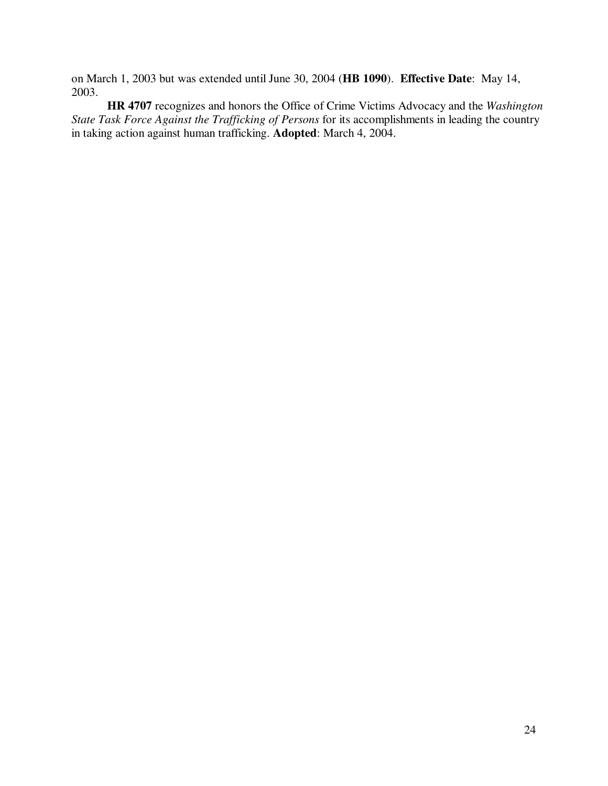on March 1, 2003 but was extended until June 30, 2004 (**HB 1090**). **Effective Date**: May 14, 2003.

**HR 4707** recognizes and honors the Office of Crime Victims Advocacy and the *Washington State Task Force Against the Trafficking of Persons* for its accomplishments in leading the country in taking action against human trafficking. **Adopted**: March 4, 2004.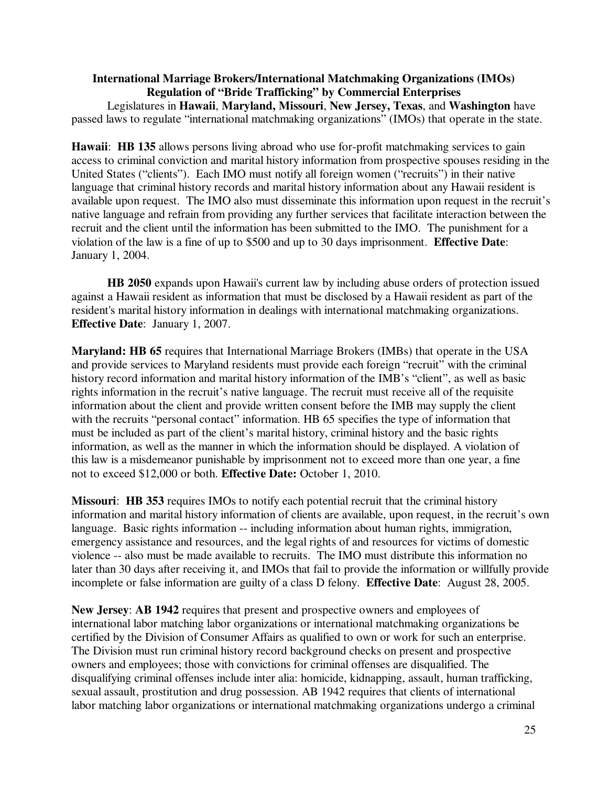**International Marriage Brokers/International Matchmaking Organizations (IMOs) Regulation of "Bride Trafficking" by Commercial Enterprises**  Legislatures in **Hawaii**, **Maryland, Missouri**, **New Jersey, Texas**, and **Washington** have passed laws to regulate "international matchmaking organizations" (IMOs) that operate in the state.

**Hawaii**: **HB 135** allows persons living abroad who use for-profit matchmaking services to gain access to criminal conviction and marital history information from prospective spouses residing in the United States ("clients"). Each IMO must notify all foreign women ("recruits") in their native language that criminal history records and marital history information about any Hawaii resident is available upon request. The IMO also must disseminate this information upon request in the recruit's native language and refrain from providing any further services that facilitate interaction between the recruit and the client until the information has been submitted to the IMO. The punishment for a violation of the law is a fine of up to \$500 and up to 30 days imprisonment. **Effective Date**: January 1, 2004.

**HB 2050** expands upon Hawaii's current law by including abuse orders of protection issued against a Hawaii resident as information that must be disclosed by a Hawaii resident as part of the resident's marital history information in dealings with international matchmaking organizations. **Effective Date**: January 1, 2007.

**Maryland: HB 65** requires that International Marriage Brokers (IMBs) that operate in the USA and provide services to Maryland residents must provide each foreign "recruit" with the criminal history record information and marital history information of the IMB's "client", as well as basic rights information in the recruit's native language. The recruit must receive all of the requisite information about the client and provide written consent before the IMB may supply the client with the recruits "personal contact" information. HB 65 specifies the type of information that must be included as part of the client's marital history, criminal history and the basic rights information, as well as the manner in which the information should be displayed. A violation of this law is a misdemeanor punishable by imprisonment not to exceed more than one year, a fine not to exceed \$12,000 or both. **Effective Date:** October 1, 2010.

**Missouri**: **HB 353** requires IMOs to notify each potential recruit that the criminal history information and marital history information of clients are available, upon request, in the recruit's own language. Basic rights information -- including information about human rights, immigration, emergency assistance and resources, and the legal rights of and resources for victims of domestic violence -- also must be made available to recruits. The IMO must distribute this information no later than 30 days after receiving it, and IMOs that fail to provide the information or willfully provide incomplete or false information are guilty of a class D felony. **Effective Date**: August 28, 2005.

**New Jersey**: **AB 1942** requires that present and prospective owners and employees of international labor matching labor organizations or international matchmaking organizations be certified by the Division of Consumer Affairs as qualified to own or work for such an enterprise. The Division must run criminal history record background checks on present and prospective owners and employees; those with convictions for criminal offenses are disqualified. The disqualifying criminal offenses include inter alia: homicide, kidnapping, assault, human trafficking, sexual assault, prostitution and drug possession. AB 1942 requires that clients of international labor matching labor organizations or international matchmaking organizations undergo a criminal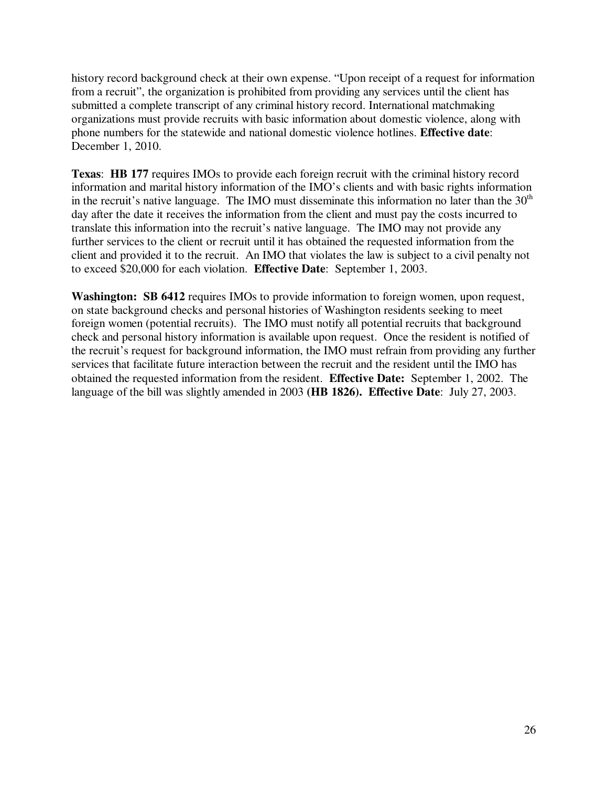history record background check at their own expense. "Upon receipt of a request for information from a recruit", the organization is prohibited from providing any services until the client has submitted a complete transcript of any criminal history record. International matchmaking organizations must provide recruits with basic information about domestic violence, along with phone numbers for the statewide and national domestic violence hotlines. **Effective date**: December 1, 2010.

**Texas**: **HB 177** requires IMOs to provide each foreign recruit with the criminal history record information and marital history information of the IMO's clients and with basic rights information in the recruit's native language. The IMO must disseminate this information no later than the  $30<sup>th</sup>$ day after the date it receives the information from the client and must pay the costs incurred to translate this information into the recruit's native language. The IMO may not provide any further services to the client or recruit until it has obtained the requested information from the client and provided it to the recruit. An IMO that violates the law is subject to a civil penalty not to exceed \$20,000 for each violation. **Effective Date**:September 1, 2003.

**Washington: SB 6412** requires IMOs to provide information to foreign women, upon request, on state background checks and personal histories of Washington residents seeking to meet foreign women (potential recruits). The IMO must notify all potential recruits that background check and personal history information is available upon request. Once the resident is notified of the recruit's request for background information, the IMO must refrain from providing any further services that facilitate future interaction between the recruit and the resident until the IMO has obtained the requested information from the resident. **Effective Date:** September 1, 2002. The language of the bill was slightly amended in 2003 **(HB 1826). Effective Date**: July 27, 2003.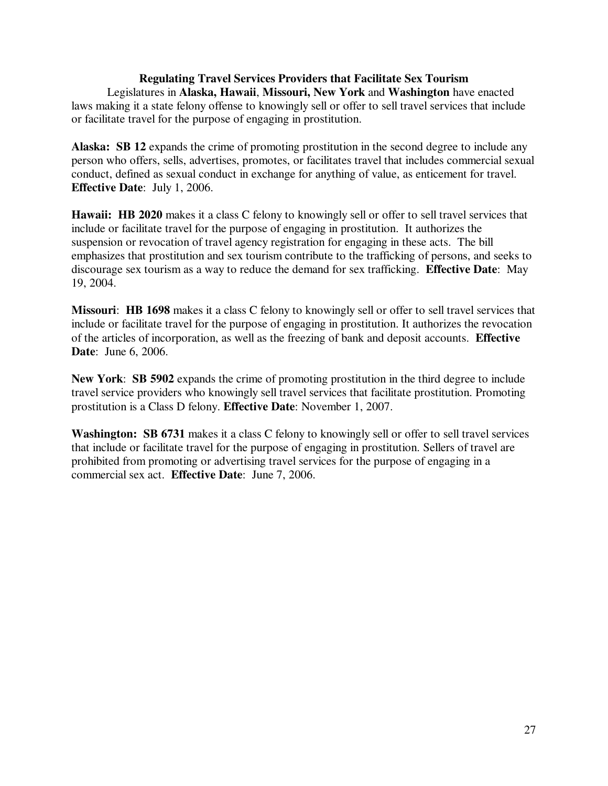## **Regulating Travel Services Providers that Facilitate Sex Tourism**

Legislatures in **Alaska, Hawaii**, **Missouri, New York** and **Washington** have enacted laws making it a state felony offense to knowingly sell or offer to sell travel services that include or facilitate travel for the purpose of engaging in prostitution.

**Alaska: SB 12** expands the crime of promoting prostitution in the second degree to include any person who offers, sells, advertises, promotes, or facilitates travel that includes commercial sexual conduct, defined as sexual conduct in exchange for anything of value, as enticement for travel. **Effective Date**: July 1, 2006.

**Hawaii: HB 2020** makes it a class C felony to knowingly sell or offer to sell travel services that include or facilitate travel for the purpose of engaging in prostitution. It authorizes the suspension or revocation of travel agency registration for engaging in these acts. The bill emphasizes that prostitution and sex tourism contribute to the trafficking of persons, and seeks to discourage sex tourism as a way to reduce the demand for sex trafficking. **Effective Date**: May 19, 2004.

**Missouri**: **HB 1698** makes it a class C felony to knowingly sell or offer to sell travel services that include or facilitate travel for the purpose of engaging in prostitution. It authorizes the revocation of the articles of incorporation, as well as the freezing of bank and deposit accounts. **Effective Date**: June 6, 2006.

**New York**: **SB 5902** expands the crime of promoting prostitution in the third degree to include travel service providers who knowingly sell travel services that facilitate prostitution. Promoting prostitution is a Class D felony. **Effective Date**: November 1, 2007.

**Washington: SB 6731** makes it a class C felony to knowingly sell or offer to sell travel services that include or facilitate travel for the purpose of engaging in prostitution. Sellers of travel are prohibited from promoting or advertising travel services for the purpose of engaging in a commercial sex act. **Effective Date**: June 7, 2006.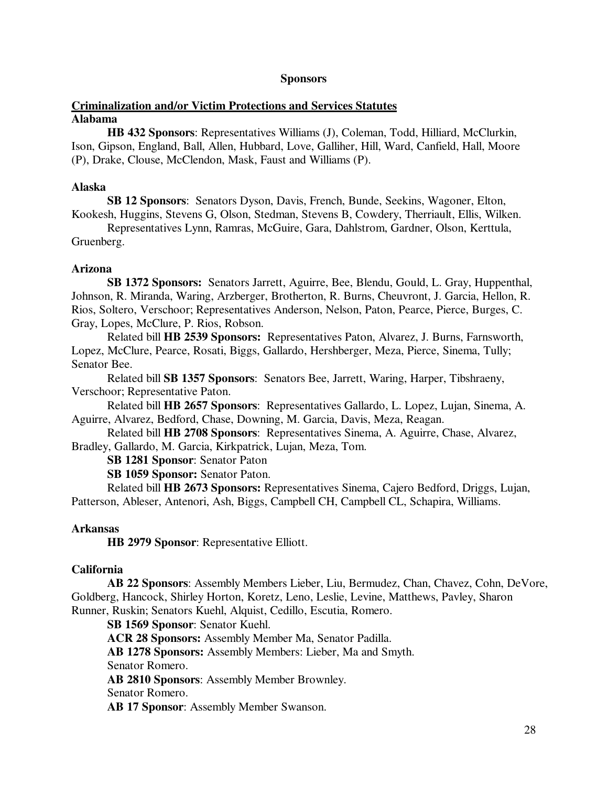## **Sponsors**

## **Criminalization and/or Victim Protections and Services Statutes Alabama**

 **HB 432 Sponsors**: Representatives Williams (J), Coleman, Todd, Hilliard, McClurkin, Ison, Gipson, England, Ball, Allen, Hubbard, Love, Galliher, Hill, Ward, Canfield, Hall, Moore (P), Drake, Clouse, McClendon, Mask, Faust and Williams (P).

### **Alaska**

 **SB 12 Sponsors**: Senators Dyson, Davis, French, Bunde, Seekins, Wagoner, Elton, Kookesh, Huggins, Stevens G, Olson, Stedman, Stevens B, Cowdery, Therriault, Ellis, Wilken.

 Representatives Lynn, Ramras, McGuire, Gara, Dahlstrom, Gardner, Olson, Kerttula, Gruenberg.

## **Arizona**

**SB 1372 Sponsors:** Senators Jarrett, Aguirre, Bee, Blendu, Gould, L. Gray, Huppenthal, Johnson, R. Miranda, Waring, Arzberger, Brotherton, R. Burns, Cheuvront, J. Garcia, Hellon, R. Rios, Soltero, Verschoor; Representatives Anderson, Nelson, Paton, Pearce, Pierce, Burges, C. Gray, Lopes, McClure, P. Rios, Robson.

Related bill **HB 2539 Sponsors:** Representatives Paton, Alvarez, J. Burns, Farnsworth, Lopez, McClure, Pearce, Rosati, Biggs, Gallardo, Hershberger, Meza, Pierce, Sinema, Tully; Senator Bee.

Related bill **SB 1357 Sponsors**: Senators Bee, Jarrett, Waring, Harper, Tibshraeny, Verschoor; Representative Paton.

Related bill **HB 2657 Sponsors**: Representatives Gallardo, L. Lopez, Lujan, Sinema, A. Aguirre, Alvarez, Bedford, Chase, Downing, M. Garcia, Davis, Meza, Reagan.

Related bill **HB 2708 Sponsors**: Representatives Sinema, A. Aguirre, Chase, Alvarez, Bradley, Gallardo, M. Garcia, Kirkpatrick, Lujan, Meza, Tom.

 **SB 1281 Sponsor**: Senator Paton

 **SB 1059 Sponsor:** Senator Paton.

 Related bill **HB 2673 Sponsors:** Representatives Sinema, Cajero Bedford, Driggs, Lujan, Patterson, Ableser, Antenori, Ash, Biggs, Campbell CH, Campbell CL, Schapira, Williams.

## **Arkansas**

**HB 2979 Sponsor**: Representative Elliott.

## **California**

 **AB 22 Sponsors**: Assembly Members Lieber, Liu, Bermudez, Chan, Chavez, Cohn, DeVore, Goldberg, Hancock, Shirley Horton, Koretz, Leno, Leslie, Levine, Matthews, Pavley, Sharon Runner, Ruskin; Senators Kuehl, Alquist, Cedillo, Escutia, Romero.

 **SB 1569 Sponsor**: Senator Kuehl.

**ACR 28 Sponsors:** Assembly Member Ma, Senator Padilla.

**AB 1278 Sponsors:** Assembly Members: Lieber, Ma and Smyth.

Senator Romero.

**AB 2810 Sponsors**: Assembly Member Brownley.

Senator Romero.

**AB 17 Sponsor**: Assembly Member Swanson.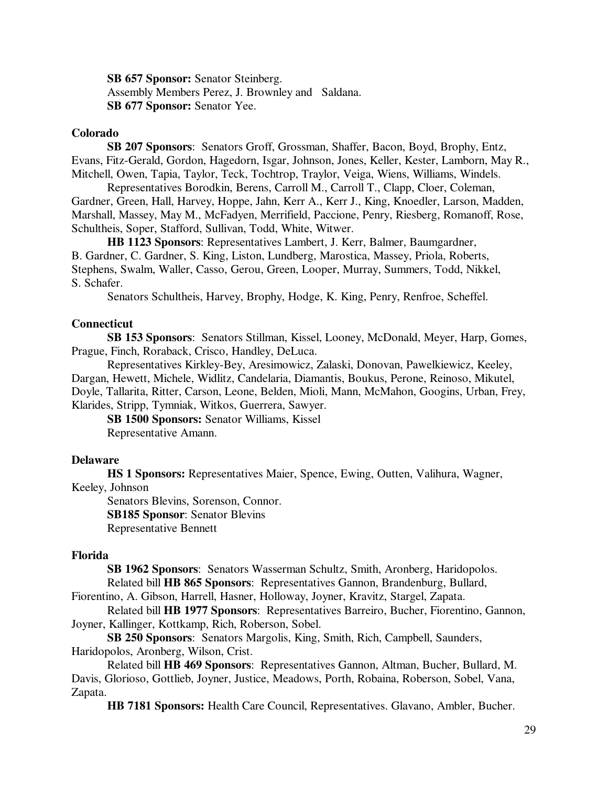**SB 657 Sponsor:** Senator Steinberg. Assembly Members Perez, J. Brownley and Saldana.  **SB 677 Sponsor:** Senator Yee.

### **Colorado**

 **SB 207 Sponsors**:Senators Groff, Grossman, Shaffer, Bacon, Boyd, Brophy, Entz, Evans, Fitz-Gerald, Gordon, Hagedorn, Isgar, Johnson, Jones, Keller, Kester, Lamborn, May R., Mitchell, Owen, Tapia, Taylor, Teck, Tochtrop, Traylor, Veiga, Wiens, Williams, Windels.

 Representatives Borodkin, Berens, Carroll M., Carroll T., Clapp, Cloer, Coleman, Gardner, Green, Hall, Harvey, Hoppe, Jahn, Kerr A., Kerr J., King, Knoedler, Larson, Madden, Marshall, Massey, May M., McFadyen, Merrifield, Paccione, Penry, Riesberg, Romanoff, Rose, Schultheis, Soper, Stafford, Sullivan, Todd, White, Witwer.

 **HB 1123 Sponsors**: Representatives Lambert, J. Kerr, Balmer, Baumgardner, B. Gardner, C. Gardner, S. King, Liston, Lundberg, Marostica, Massey, Priola, Roberts, Stephens, Swalm, Waller, Casso, Gerou, Green, Looper, Murray, Summers, Todd, Nikkel, S. Schafer.

Senators Schultheis, Harvey, Brophy, Hodge, K. King, Penry, Renfroe, Scheffel.

## **Connecticut**

 **SB 153 Sponsors**: Senators Stillman, Kissel, Looney, McDonald, Meyer, Harp, Gomes, Prague, Finch, Roraback, Crisco, Handley, DeLuca.

 Representatives Kirkley-Bey, Aresimowicz, Zalaski, Donovan, Pawelkiewicz, Keeley, Dargan, Hewett, Michele, Widlitz, Candelaria, Diamantis, Boukus, Perone, Reinoso, Mikutel, Doyle, Tallarita, Ritter, Carson, Leone, Belden, Mioli, Mann, McMahon, Googins, Urban, Frey, Klarides, Stripp, Tymniak, Witkos, Guerrera, Sawyer.

**SB 1500 Sponsors:** Senator Williams, Kissel Representative Amann.

#### **Delaware**

 **HS 1 Sponsors:** Representatives Maier, Spence, Ewing, Outten, Valihura, Wagner, Keeley, Johnson

 Senators Blevins, Sorenson, Connor.  **SB185 Sponsor**: Senator Blevins Representative Bennett

#### **Florida**

**SB 1962 Sponsors**: Senators Wasserman Schultz, Smith, Aronberg, Haridopolos. Related bill **HB 865 Sponsors**: Representatives Gannon, Brandenburg, Bullard,

Fiorentino, A. Gibson, Harrell, Hasner, Holloway, Joyner, Kravitz, Stargel, Zapata.

Related bill **HB 1977 Sponsors**: Representatives Barreiro, Bucher, Fiorentino, Gannon, Joyner, Kallinger, Kottkamp, Rich, Roberson, Sobel.

 **SB 250 Sponsors**: Senators Margolis, King, Smith, Rich, Campbell, Saunders, Haridopolos, Aronberg, Wilson, Crist.

 Related bill **HB 469 Sponsors**: Representatives Gannon, Altman, Bucher, Bullard, M. Davis, Glorioso, Gottlieb, Joyner, Justice, Meadows, Porth, Robaina, Roberson, Sobel, Vana, Zapata.

**HB 7181 Sponsors:** Health Care Council, Representatives. Glavano, Ambler, Bucher.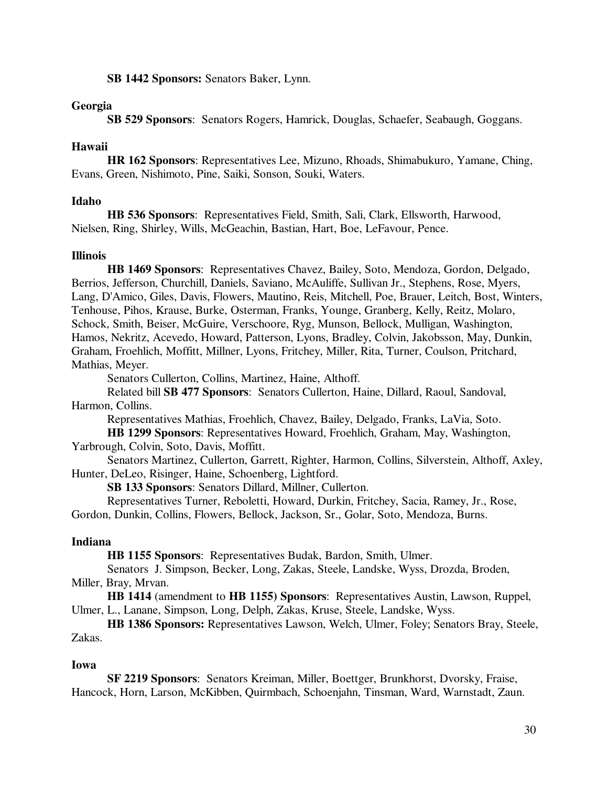**SB 1442 Sponsors:** Senators Baker, Lynn.

## **Georgia**

 **SB 529 Sponsors**:Senators Rogers, Hamrick, Douglas, Schaefer, Seabaugh, Goggans.

## **Hawaii**

 **HR 162 Sponsors**: Representatives Lee, Mizuno, Rhoads, Shimabukuro, Yamane, Ching, Evans, Green, Nishimoto, Pine, Saiki, Sonson, Souki, Waters.

## **Idaho**

 **HB 536 Sponsors**: Representatives Field, Smith, Sali, Clark, Ellsworth, Harwood, Nielsen, Ring, Shirley, Wills, McGeachin, Bastian, Hart, Boe, LeFavour, Pence.

## **Illinois**

**HB 1469 Sponsors**: Representatives Chavez, Bailey, Soto, Mendoza, Gordon, Delgado, Berrios, Jefferson, Churchill, Daniels, Saviano, McAuliffe, Sullivan Jr., Stephens, Rose, Myers, Lang, D'Amico, Giles, Davis, Flowers, Mautino, Reis, Mitchell, Poe, Brauer, Leitch, Bost, Winters, Tenhouse, Pihos, Krause, Burke, Osterman, Franks, Younge, Granberg, Kelly, Reitz, Molaro, Schock, Smith, Beiser, McGuire, Verschoore, Ryg, Munson, Bellock, Mulligan, Washington, Hamos, Nekritz, Acevedo, Howard, Patterson, Lyons, Bradley, Colvin, Jakobsson, May, Dunkin, Graham, Froehlich, Moffitt, Millner, Lyons, Fritchey, Miller, Rita, Turner, Coulson, Pritchard, Mathias, Meyer.

Senators Cullerton, Collins, Martinez, Haine, Althoff.

Related bill **SB 477 Sponsors**: Senators Cullerton, Haine, Dillard, Raoul, Sandoval, Harmon, Collins.

Representatives Mathias, Froehlich, Chavez, Bailey, Delgado, Franks, LaVia, Soto.

 **HB 1299 Sponsors**: Representatives Howard, Froehlich, Graham, May, Washington, Yarbrough, Colvin, Soto, Davis, Moffitt.

 Senators Martinez, Cullerton, Garrett, Righter, Harmon, Collins, Silverstein, Althoff, Axley, Hunter, DeLeo, Risinger, Haine, Schoenberg, Lightford.

 **SB 133 Sponsors**: Senators Dillard, Millner, Cullerton.

Representatives Turner, Reboletti, Howard, Durkin, Fritchey, Sacia, Ramey, Jr., Rose,

Gordon, Dunkin, Collins, Flowers, Bellock, Jackson, Sr., Golar, Soto, Mendoza, Burns.

## **Indiana**

 **HB 1155 Sponsors**:Representatives Budak, Bardon, Smith, Ulmer.

 Senators J. Simpson, Becker, Long, Zakas, Steele, Landske, Wyss, Drozda, Broden, Miller, Bray, Mrvan.

 **HB 1414** (amendment to **HB 1155) Sponsors**:Representatives Austin, Lawson, Ruppel, Ulmer, L., Lanane, Simpson, Long, Delph, Zakas, Kruse, Steele, Landske, Wyss.

**HB 1386 Sponsors:** Representatives Lawson, Welch, Ulmer, Foley; Senators Bray, Steele, Zakas.

## **Iowa**

 **SF 2219 Sponsors**: Senators Kreiman, Miller, Boettger, Brunkhorst, Dvorsky, Fraise, Hancock, Horn, Larson, McKibben, Quirmbach, Schoenjahn, Tinsman, Ward, Warnstadt, Zaun.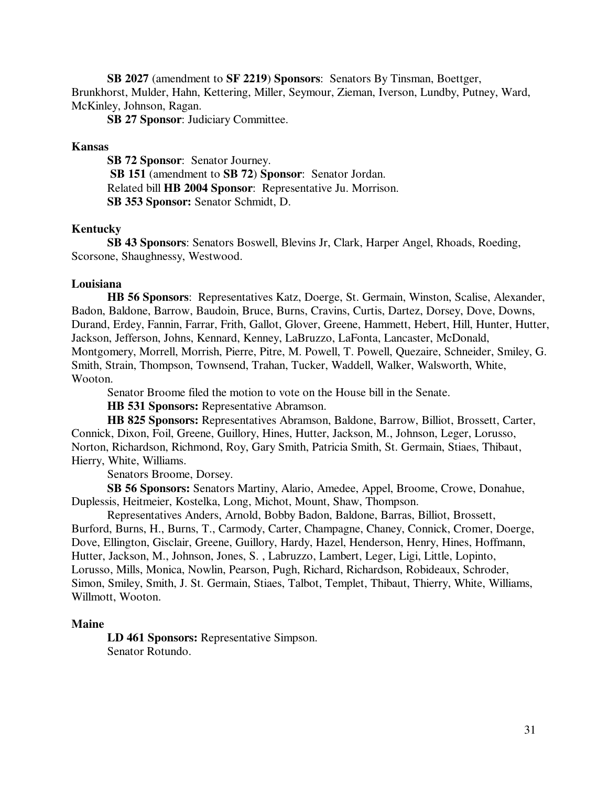**SB 2027** (amendment to **SF 2219**) **Sponsors**: Senators By Tinsman, Boettger, Brunkhorst, Mulder, Hahn, Kettering, Miller, Seymour, Zieman, Iverson, Lundby, Putney, Ward, McKinley, Johnson, Ragan.

**SB 27 Sponsor**: Judiciary Committee.

### **Kansas**

 **SB 72 Sponsor**: Senator Journey. **SB 151** (amendment to **SB 72**) **Sponsor**: Senator Jordan. Related bill **HB 2004 Sponsor**: Representative Ju. Morrison.  **SB 353 Sponsor:** Senator Schmidt, D.

#### **Kentucky**

**SB 43 Sponsors**: Senators Boswell, Blevins Jr, Clark, Harper Angel, Rhoads, Roeding, Scorsone, Shaughnessy, Westwood.

## **Louisiana**

**HB 56 Sponsors**: Representatives Katz, Doerge, St. Germain, Winston, Scalise, Alexander, Badon, Baldone, Barrow, Baudoin, Bruce, Burns, Cravins, Curtis, Dartez, Dorsey, Dove, Downs, Durand, Erdey, Fannin, Farrar, Frith, Gallot, Glover, Greene, Hammett, Hebert, Hill, Hunter, Hutter, Jackson, Jefferson, Johns, Kennard, Kenney, LaBruzzo, LaFonta, Lancaster, McDonald, Montgomery, Morrell, Morrish, Pierre, Pitre, M. Powell, T. Powell, Quezaire, Schneider, Smiley, G. Smith, Strain, Thompson, Townsend, Trahan, Tucker, Waddell, Walker, Walsworth, White, Wooton.

Senator Broome filed the motion to vote on the House bill in the Senate.

 **HB 531 Sponsors:** Representative Abramson.

 **HB 825 Sponsors:** Representatives Abramson, Baldone, Barrow, Billiot, Brossett, Carter, Connick, Dixon, Foil, Greene, Guillory, Hines, Hutter, Jackson, M., Johnson, Leger, Lorusso, Norton, Richardson, Richmond, Roy, Gary Smith, Patricia Smith, St. Germain, Stiaes, Thibaut, Hierry, White, Williams.

Senators Broome, Dorsey.

 **SB 56 Sponsors:** Senators Martiny, Alario, Amedee, Appel, Broome, Crowe, Donahue, Duplessis, Heitmeier, Kostelka, Long, Michot, Mount, Shaw, Thompson.

 Representatives Anders, Arnold, Bobby Badon, Baldone, Barras, Billiot, Brossett, Burford, Burns, H., Burns, T., Carmody, Carter, Champagne, Chaney, Connick, Cromer, Doerge, Dove, Ellington, Gisclair, Greene, Guillory, Hardy, Hazel, Henderson, Henry, Hines, Hoffmann, Hutter, Jackson, M., Johnson, Jones, S. , Labruzzo, Lambert, Leger, Ligi, Little, Lopinto, Lorusso, Mills, Monica, Nowlin, Pearson, Pugh, Richard, Richardson, Robideaux, Schroder, Simon, Smiley, Smith, J. St. Germain, Stiaes, Talbot, Templet, Thibaut, Thierry, White, Williams, Willmott, Wooton.

#### **Maine**

 **LD 461 Sponsors:** Representative Simpson. Senator Rotundo.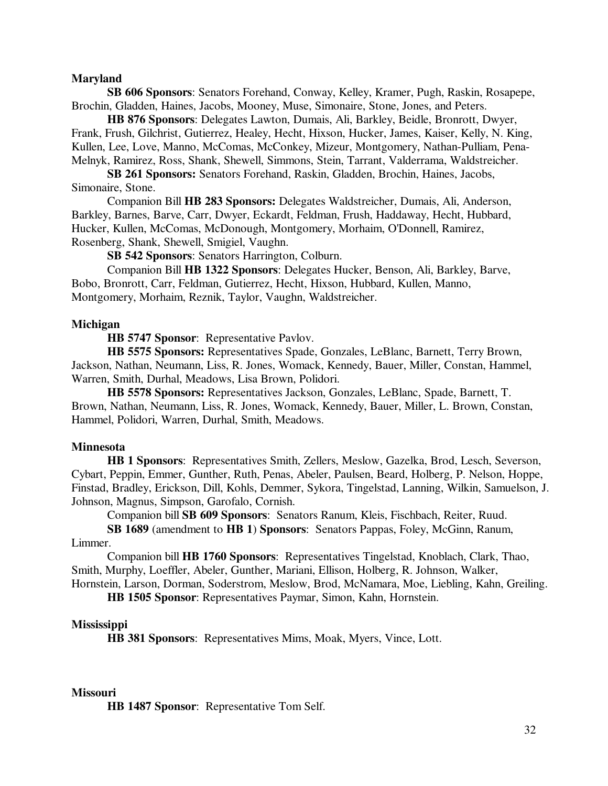#### **Maryland**

**SB 606 Sponsors**: Senators Forehand, Conway, Kelley, Kramer, Pugh, Raskin, Rosapepe, Brochin, Gladden, Haines, Jacobs, Mooney, Muse, Simonaire, Stone, Jones, and Peters.

**HB 876 Sponsors**: Delegates Lawton, Dumais, Ali, Barkley, Beidle, Bronrott, Dwyer, Frank, Frush, Gilchrist, Gutierrez, Healey, Hecht, Hixson, Hucker, James, Kaiser, Kelly, N. King, Kullen, Lee, Love, Manno, McComas, McConkey, Mizeur, Montgomery, Nathan-Pulliam, Pena-Melnyk, Ramirez, Ross, Shank, Shewell, Simmons, Stein, Tarrant, Valderrama, Waldstreicher.

 **SB 261 Sponsors:** Senators Forehand, Raskin, Gladden, Brochin, Haines, Jacobs, Simonaire, Stone.

 Companion Bill **HB 283 Sponsors:** Delegates Waldstreicher, Dumais, Ali, Anderson, Barkley, Barnes, Barve, Carr, Dwyer, Eckardt, Feldman, Frush, Haddaway, Hecht, Hubbard, Hucker, Kullen, McComas, McDonough, Montgomery, Morhaim, O'Donnell, Ramirez, Rosenberg, Shank, Shewell, Smigiel, Vaughn.

 **SB 542 Sponsors**: Senators Harrington, Colburn.

 Companion Bill **HB 1322 Sponsors**: Delegates Hucker, Benson, Ali, Barkley, Barve, Bobo, Bronrott, Carr, Feldman, Gutierrez, Hecht, Hixson, Hubbard, Kullen, Manno, Montgomery, Morhaim, Reznik, Taylor, Vaughn, Waldstreicher.

#### **Michigan**

 **HB 5747 Sponsor**:Representative Pavlov.

 **HB 5575 Sponsors:** Representatives Spade, Gonzales, LeBlanc, Barnett, Terry Brown, Jackson, Nathan, Neumann, Liss, R. Jones, Womack, Kennedy, Bauer, Miller, Constan, Hammel, Warren, Smith, Durhal, Meadows, Lisa Brown, Polidori.

 **HB 5578 Sponsors:** Representatives Jackson, Gonzales, LeBlanc, Spade, Barnett, T. Brown, Nathan, Neumann, Liss, R. Jones, Womack, Kennedy, Bauer, Miller, L. Brown, Constan, Hammel, Polidori, Warren, Durhal, Smith, Meadows.

#### **Minnesota**

**HB 1 Sponsors**: Representatives Smith, Zellers, Meslow, Gazelka, Brod, Lesch, Severson, Cybart, Peppin, Emmer, Gunther, Ruth, Penas, Abeler, Paulsen, Beard, Holberg, P. Nelson, Hoppe, Finstad, Bradley, Erickson, Dill, Kohls, Demmer, Sykora, Tingelstad, Lanning, Wilkin, Samuelson, J. Johnson, Magnus, Simpson, Garofalo, Cornish.

Companion bill **SB 609 Sponsors**: Senators Ranum, Kleis, Fischbach, Reiter, Ruud.

**SB 1689** (amendment to **HB 1**) **Sponsors**: Senators Pappas, Foley, McGinn, Ranum, Limmer.

Companion bill **HB 1760 Sponsors**: Representatives Tingelstad, Knoblach, Clark, Thao, Smith, Murphy, Loeffler, Abeler, Gunther, Mariani, Ellison, Holberg, R. Johnson, Walker, Hornstein, Larson, Dorman, Soderstrom, Meslow, Brod, McNamara, Moe, Liebling, Kahn, Greiling.

 **HB 1505 Sponsor**: Representatives Paymar, Simon, Kahn, Hornstein.

#### **Mississippi**

 **HB 381 Sponsors**:Representatives Mims, Moak, Myers, Vince, Lott.

#### **Missouri**

**HB 1487 Sponsor**: Representative Tom Self.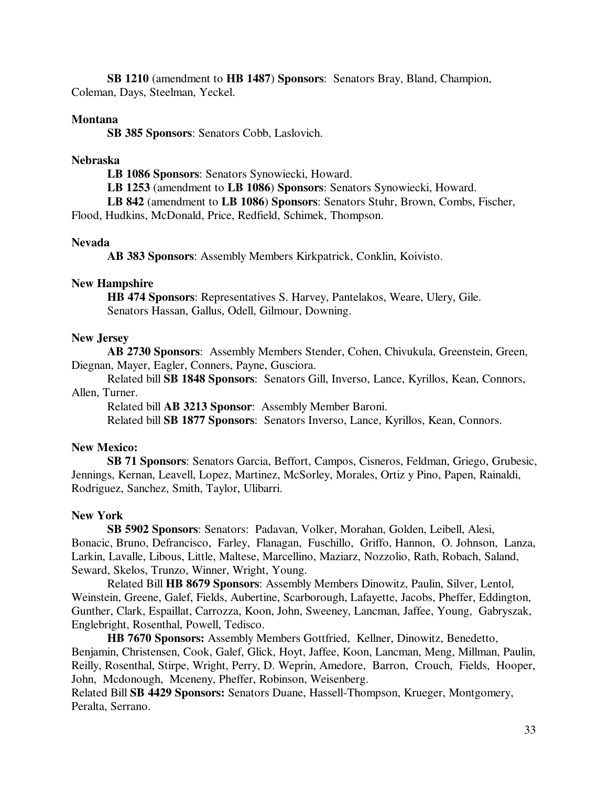**SB 1210** (amendment to **HB 1487**) **Sponsors**: Senators Bray, Bland, Champion, Coleman, Days, Steelman, Yeckel.

## **Montana**

**SB 385 Sponsors**: Senators Cobb, Laslovich.

#### **Nebraska**

 **LB 1086 Sponsors**: Senators Synowiecki, Howard.

**LB 1253** (amendment to **LB 1086**) **Sponsors**: Senators Synowiecki, Howard.

**LB 842** (amendment to **LB 1086**) **Sponsors**: Senators Stuhr, Brown, Combs, Fischer,

Flood, Hudkins, McDonald, Price, Redfield, Schimek, Thompson.

#### **Nevada**

**AB 383 Sponsors**: Assembly Members Kirkpatrick, Conklin, Koivisto.

#### **New Hampshire**

 **HB 474 Sponsors**: Representatives S. Harvey, Pantelakos, Weare, Ulery, Gile. Senators Hassan, Gallus, Odell, Gilmour, Downing.

#### **New Jersey**

**AB 2730 Sponsors**: Assembly Members Stender, Cohen, Chivukula, Greenstein, Green, Diegnan, Mayer, Eagler, Conners, Payne, Gusciora.

Related bill **SB 1848 Sponsors**: Senators Gill, Inverso, Lance, Kyrillos, Kean, Connors, Allen, Turner.

Related bill **AB 3213 Sponsor**: Assembly Member Baroni.

Related bill **SB 1877 Sponsors**: Senators Inverso, Lance, Kyrillos, Kean, Connors.

## **New Mexico:**

 **SB 71 Sponsors**: Senators Garcia, Beffort, Campos, Cisneros, Feldman, Griego, Grubesic, Jennings, Kernan, Leavell, Lopez, Martinez, McSorley, Morales, Ortiz y Pino, Papen, Rainaldi, Rodriguez, Sanchez, Smith, Taylor, Ulibarri.

#### **New York**

 **SB 5902 Sponsors**: Senators: Padavan, Volker, Morahan, Golden, Leibell, Alesi, Bonacic, Bruno, Defrancisco, Farley, Flanagan, Fuschillo, Griffo, Hannon, O. Johnson, Lanza, Larkin, Lavalle, Libous, Little, Maltese, Marcellino, Maziarz, Nozzolio, Rath, Robach, Saland, Seward, Skelos, Trunzo, Winner, Wright, Young.

Related Bill **HB 8679 Sponsors**: Assembly Members Dinowitz, Paulin, Silver, Lentol, Weinstein, Greene, Galef, Fields, Aubertine, Scarborough, Lafayette, Jacobs, Pheffer, Eddington, Gunther, Clark, Espaillat, Carrozza, Koon, John, Sweeney, Lancman, Jaffee, Young, Gabryszak, Englebright, Rosenthal, Powell, Tedisco.

 **HB 7670 Sponsors:** Assembly Members Gottfried, Kellner, Dinowitz, Benedetto, Benjamin, Christensen, Cook, Galef, Glick, Hoyt, Jaffee, Koon, Lancman, Meng, Millman, Paulin, Reilly, Rosenthal, Stirpe, Wright, Perry, D. Weprin, Amedore, Barron, Crouch, Fields, Hooper, John, Mcdonough, Mceneny, Pheffer, Robinson, Weisenberg.

Related Bill **SB 4429 Sponsors:** Senators Duane, Hassell-Thompson, Krueger, Montgomery, Peralta, Serrano.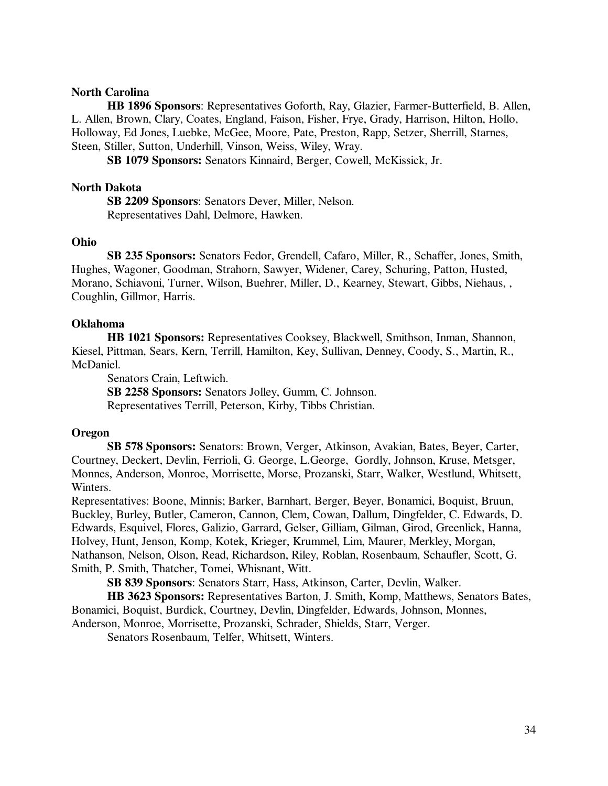### **North Carolina**

 **HB 1896 Sponsors**: Representatives Goforth, Ray, Glazier, Farmer-Butterfield, B. Allen, L. Allen, Brown, Clary, Coates, England, Faison, Fisher, Frye, Grady, Harrison, Hilton, Hollo, Holloway, Ed Jones, Luebke, McGee, Moore, Pate, Preston, Rapp, Setzer, Sherrill, Starnes, Steen, Stiller, Sutton, Underhill, Vinson, Weiss, Wiley, Wray.

**SB 1079 Sponsors:** Senators Kinnaird, Berger, Cowell, McKissick, Jr.

#### **North Dakota**

 **SB 2209 Sponsors**: Senators Dever, Miller, Nelson. Representatives Dahl, Delmore, Hawken.

## **Ohio**

 **SB 235 Sponsors:** Senators Fedor, Grendell, Cafaro, Miller, R., Schaffer, Jones, Smith, Hughes, Wagoner, Goodman, Strahorn, Sawyer, Widener, Carey, Schuring, Patton, Husted, Morano, Schiavoni, Turner, Wilson, Buehrer, Miller, D., Kearney, Stewart, Gibbs, Niehaus, , Coughlin, Gillmor, Harris.

#### **Oklahoma**

 **HB 1021 Sponsors:** Representatives Cooksey, Blackwell, Smithson, Inman, Shannon, Kiesel, Pittman, Sears, Kern, Terrill, Hamilton, Key, Sullivan, Denney, Coody, S., Martin, R., McDaniel.

Senators Crain, Leftwich.

 **SB 2258 Sponsors:** Senators Jolley, Gumm, C. Johnson. Representatives Terrill, Peterson, Kirby, Tibbs Christian.

#### **Oregon**

 **SB 578 Sponsors:** Senators: Brown, Verger, Atkinson, Avakian, Bates, Beyer, Carter, Courtney, Deckert, Devlin, Ferrioli, G. George, L.George, Gordly, Johnson, Kruse, Metsger, Monnes, Anderson, Monroe, Morrisette, Morse, Prozanski, Starr, Walker, Westlund, Whitsett, Winters.

Representatives: Boone, Minnis; Barker, Barnhart, Berger, Beyer, Bonamici, Boquist, Bruun, Buckley, Burley, Butler, Cameron, Cannon, Clem, Cowan, Dallum, Dingfelder, C. Edwards, D. Edwards, Esquivel, Flores, Galizio, Garrard, Gelser, Gilliam, Gilman, Girod, Greenlick, Hanna, Holvey, Hunt, Jenson, Komp, Kotek, Krieger, Krummel, Lim, Maurer, Merkley, Morgan, Nathanson, Nelson, Olson, Read, Richardson, Riley, Roblan, Rosenbaum, Schaufler, Scott, G. Smith, P. Smith, Thatcher, Tomei, Whisnant, Witt.

 **SB 839 Sponsors**: Senators Starr, Hass, Atkinson, Carter, Devlin, Walker.

 **HB 3623 Sponsors:** Representatives Barton, J. Smith, Komp, Matthews, Senators Bates, Bonamici, Boquist, Burdick, Courtney, Devlin, Dingfelder, Edwards, Johnson, Monnes, Anderson, Monroe, Morrisette, Prozanski, Schrader, Shields, Starr, Verger.

Senators Rosenbaum, Telfer, Whitsett, Winters.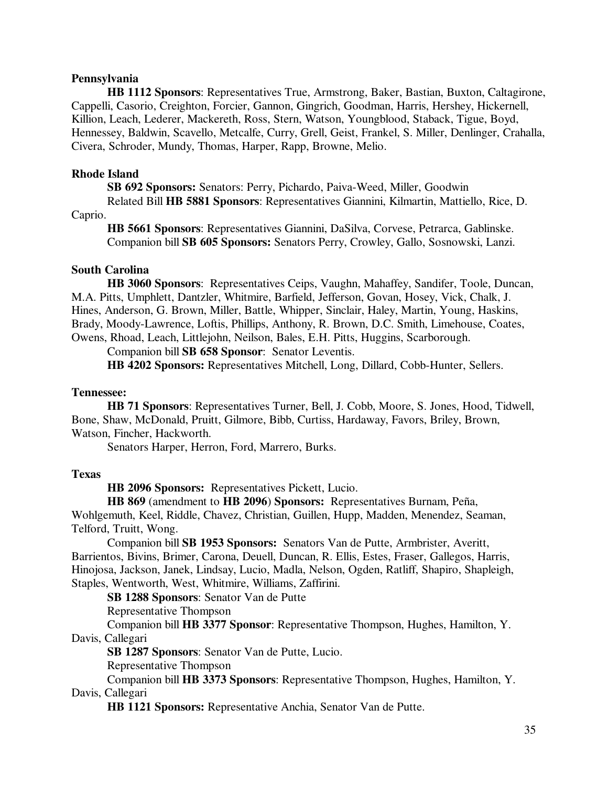## **Pennsylvania**

 **HB 1112 Sponsors**: Representatives True, Armstrong, Baker, Bastian, Buxton, Caltagirone, Cappelli, Casorio, Creighton, Forcier, Gannon, Gingrich, Goodman, Harris, Hershey, Hickernell, Killion, Leach, Lederer, Mackereth, Ross, Stern, Watson, Youngblood, Staback, Tigue, Boyd, Hennessey, Baldwin, Scavello, Metcalfe, Curry, Grell, Geist, Frankel, S. Miller, Denlinger, Crahalla, Civera, Schroder, Mundy, Thomas, Harper, Rapp, Browne, Melio.

#### **Rhode Island**

 **SB 692 Sponsors:** Senators: Perry, Pichardo, Paiva-Weed, Miller, Goodwin

 Related Bill **HB 5881 Sponsors**: Representatives Giannini, Kilmartin, Mattiello, Rice, D. Caprio.

 **HB 5661 Sponsors**: Representatives Giannini, DaSilva, Corvese, Petrarca, Gablinske. Companion bill **SB 605 Sponsors:** Senators Perry, Crowley, Gallo, Sosnowski, Lanzi.

#### **South Carolina**

 **HB 3060 Sponsors**:Representatives Ceips, Vaughn, Mahaffey, Sandifer, Toole, Duncan, M.A. Pitts, Umphlett, Dantzler, Whitmire, Barfield, Jefferson, Govan, Hosey, Vick, Chalk, J. Hines, Anderson, G. Brown, Miller, Battle, Whipper, Sinclair, Haley, Martin, Young, Haskins, Brady, Moody-Lawrence, Loftis, Phillips, Anthony, R. Brown, D.C. Smith, Limehouse, Coates, Owens, Rhoad, Leach, Littlejohn, Neilson, Bales, E.H. Pitts, Huggins, Scarborough.

Companion bill **SB 658 Sponsor**: Senator Leventis.

 **HB 4202 Sponsors:** Representatives Mitchell, Long, Dillard, Cobb-Hunter, Sellers.

### **Tennessee:**

 **HB 71 Sponsors**: Representatives Turner, Bell, J. Cobb, Moore, S. Jones, Hood, Tidwell, Bone, Shaw, McDonald, Pruitt, Gilmore, Bibb, Curtiss, Hardaway, Favors, Briley, Brown, Watson, Fincher, Hackworth.

Senators Harper, Herron, Ford, Marrero, Burks.

#### **Texas**

**HB 2096 Sponsors:** Representatives Pickett, Lucio.

**HB 869** (amendment to **HB 2096**) **Sponsors:** Representatives Burnam, Peña, Wohlgemuth, Keel, Riddle, Chavez, Christian, Guillen, Hupp, Madden, Menendez, Seaman, Telford, Truitt, Wong.

Companion bill **SB 1953 Sponsors:** Senators Van de Putte, Armbrister, Averitt, Barrientos, Bivins, Brimer, Carona, Deuell, Duncan, R. Ellis, Estes, Fraser, Gallegos, Harris, Hinojosa, Jackson, Janek, Lindsay, Lucio, Madla, Nelson, Ogden, Ratliff, Shapiro, Shapleigh, Staples, Wentworth, West, Whitmire, Williams, Zaffirini.

**SB 1288 Sponsors**: Senator Van de Putte

Representative Thompson

Companion bill **HB 3377 Sponsor**: Representative Thompson, Hughes, Hamilton, Y. Davis, Callegari

**SB 1287 Sponsors**: Senator Van de Putte, Lucio.

Representative Thompson

Companion bill **HB 3373 Sponsors**: Representative Thompson, Hughes, Hamilton, Y. Davis, Callegari

 **HB 1121 Sponsors:** Representative Anchia, Senator Van de Putte.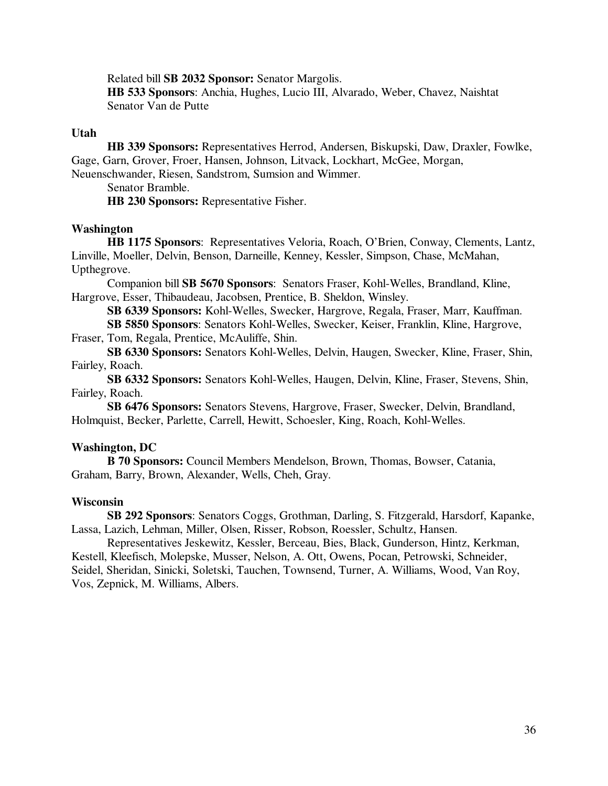Related bill **SB 2032 Sponsor:** Senator Margolis.

 **HB 533 Sponsors**: Anchia, Hughes, Lucio III, Alvarado, Weber, Chavez, Naishtat Senator Van de Putte

#### **Utah**

 **HB 339 Sponsors:** Representatives Herrod, Andersen, Biskupski, Daw, Draxler, Fowlke, Gage, Garn, Grover, Froer, Hansen, Johnson, Litvack, Lockhart, McGee, Morgan, Neuenschwander, Riesen, Sandstrom, Sumsion and Wimmer.

Senator Bramble.

 **HB 230 Sponsors:** Representative Fisher.

## **Washington**

**HB 1175 Sponsors**: Representatives Veloria, Roach, O'Brien, Conway, Clements, Lantz, Linville, Moeller, Delvin, Benson, Darneille, Kenney, Kessler, Simpson, Chase, McMahan, Upthegrove.

Companion bill **SB 5670 Sponsors**: Senators Fraser, Kohl-Welles, Brandland, Kline, Hargrove, Esser, Thibaudeau, Jacobsen, Prentice, B. Sheldon, Winsley.

**SB 6339 Sponsors:** Kohl-Welles, Swecker, Hargrove, Regala, Fraser, Marr, Kauffman.

 **SB 5850 Sponsors**: Senators Kohl-Welles, Swecker, Keiser, Franklin, Kline, Hargrove, Fraser, Tom, Regala, Prentice, McAuliffe, Shin.

 **SB 6330 Sponsors:** Senators Kohl-Welles, Delvin, Haugen, Swecker, Kline, Fraser, Shin, Fairley, Roach.

 **SB 6332 Sponsors:** Senators Kohl-Welles, Haugen, Delvin, Kline, Fraser, Stevens, Shin, Fairley, Roach.

 **SB 6476 Sponsors:** Senators Stevens, Hargrove, Fraser, Swecker, Delvin, Brandland, Holmquist, Becker, Parlette, Carrell, Hewitt, Schoesler, King, Roach, Kohl-Welles.

#### **Washington, DC**

 **B 70 Sponsors:** Council Members Mendelson, Brown, Thomas, Bowser, Catania, Graham, Barry, Brown, Alexander, Wells, Cheh, Gray.

#### **Wisconsin**

 **SB 292 Sponsors**: Senators Coggs, Grothman, Darling, S. Fitzgerald, Harsdorf, Kapanke, Lassa, Lazich, Lehman, Miller, Olsen, Risser, Robson, Roessler, Schultz, Hansen.

Representatives Jeskewitz, Kessler, Berceau, Bies, Black, Gunderson, Hintz, Kerkman, Kestell, Kleefisch, Molepske, Musser, Nelson, A. Ott, Owens, Pocan, Petrowski, Schneider, Seidel, Sheridan, Sinicki, Soletski, Tauchen, Townsend, Turner, A. Williams, Wood, Van Roy, Vos, Zepnick, M. Williams, Albers.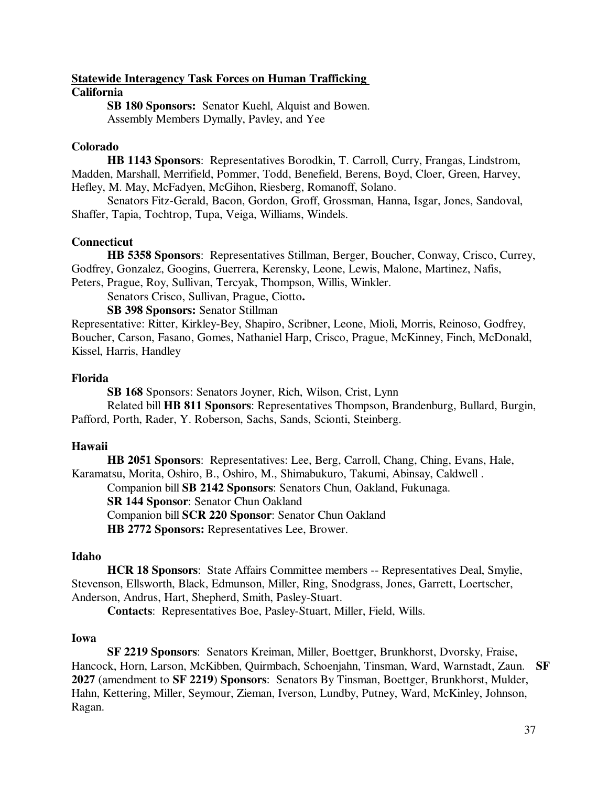## **Statewide Interagency Task Forces on Human Trafficking California**

**SB 180 Sponsors:** Senator Kuehl, Alquist and Bowen. Assembly Members Dymally, Pavley, and Yee

## **Colorado**

**HB 1143 Sponsors**: Representatives Borodkin, T. Carroll, Curry, Frangas, Lindstrom, Madden, Marshall, Merrifield, Pommer, Todd, Benefield, Berens, Boyd, Cloer, Green, Harvey, Hefley, M. May, McFadyen, McGihon, Riesberg, Romanoff, Solano.

Senators Fitz-Gerald, Bacon, Gordon, Groff, Grossman, Hanna, Isgar, Jones, Sandoval, Shaffer, Tapia, Tochtrop, Tupa, Veiga, Williams, Windels.

## **Connecticut**

**HB 5358 Sponsors**: Representatives Stillman, Berger, Boucher, Conway, Crisco, Currey, Godfrey, Gonzalez, Googins, Guerrera, Kerensky, Leone, Lewis, Malone, Martinez, Nafis, Peters, Prague, Roy, Sullivan, Tercyak, Thompson, Willis, Winkler.

Senators Crisco, Sullivan, Prague, Ciotto**.** 

 **SB 398 Sponsors:** Senator Stillman

Representative: Ritter, Kirkley-Bey, Shapiro, Scribner, Leone, Mioli, Morris, Reinoso, Godfrey, Boucher, Carson, Fasano, Gomes, Nathaniel Harp, Crisco, Prague, McKinney, Finch, McDonald, Kissel, Harris, Handley

## **Florida**

 **SB 168** Sponsors: Senators Joyner, Rich, Wilson, Crist, Lynn

 Related bill **HB 811 Sponsors**: Representatives Thompson, Brandenburg, Bullard, Burgin, Pafford, Porth, Rader, Y. Roberson, Sachs, Sands, Scionti, Steinberg.

# **Hawaii**

**HB 2051 Sponsors**: Representatives: Lee, Berg, Carroll, Chang, Ching, Evans, Hale, Karamatsu, Morita, Oshiro, B., Oshiro, M., Shimabukuro, Takumi, Abinsay, Caldwell . Companion bill **SB 2142 Sponsors**: Senators Chun, Oakland, Fukunaga.  **SR 144 Sponsor**: Senator Chun Oakland Companion bill **SCR 220 Sponsor**: Senator Chun Oakland

**HB 2772 Sponsors:** Representatives Lee, Brower.

# **Idaho**

**HCR 18 Sponsors**: State Affairs Committee members -- Representatives Deal, Smylie, Stevenson, Ellsworth, Black, Edmunson, Miller, Ring, Snodgrass, Jones, Garrett, Loertscher, Anderson, Andrus, Hart, Shepherd, Smith, Pasley-Stuart.

**Contacts**: Representatives Boe, Pasley-Stuart, Miller, Field, Wills.

# **Iowa**

**SF 2219 Sponsors**: Senators Kreiman, Miller, Boettger, Brunkhorst, Dvorsky, Fraise, Hancock, Horn, Larson, McKibben, Quirmbach, Schoenjahn, Tinsman, Ward, Warnstadt, Zaun. **SF 2027** (amendment to **SF 2219**) **Sponsors**: Senators By Tinsman, Boettger, Brunkhorst, Mulder, Hahn, Kettering, Miller, Seymour, Zieman, Iverson, Lundby, Putney, Ward, McKinley, Johnson, Ragan.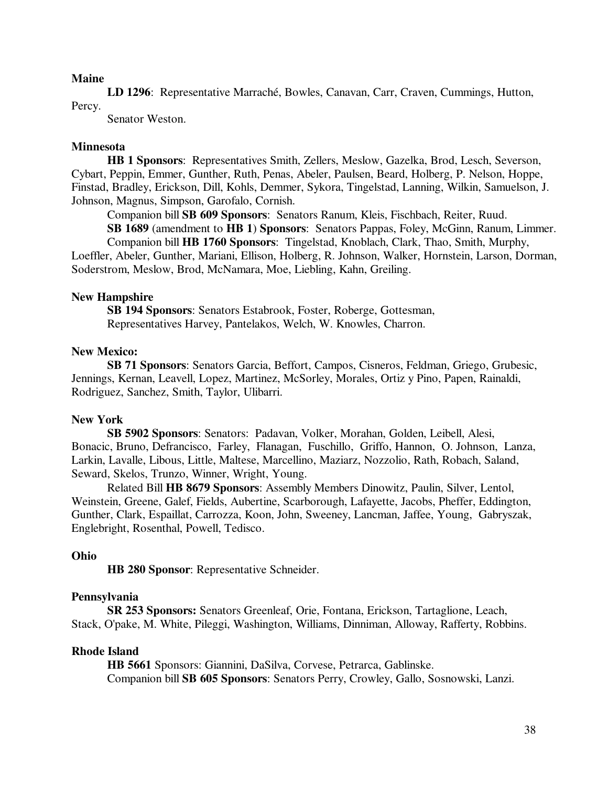#### **Maine**

 **LD 1296**: Representative Marraché, Bowles, Canavan, Carr, Craven, Cummings, Hutton, Percy.

Senator Weston.

#### **Minnesota**

**HB 1 Sponsors**: Representatives Smith, Zellers, Meslow, Gazelka, Brod, Lesch, Severson, Cybart, Peppin, Emmer, Gunther, Ruth, Penas, Abeler, Paulsen, Beard, Holberg, P. Nelson, Hoppe, Finstad, Bradley, Erickson, Dill, Kohls, Demmer, Sykora, Tingelstad, Lanning, Wilkin, Samuelson, J. Johnson, Magnus, Simpson, Garofalo, Cornish.

Companion bill **SB 609 Sponsors**: Senators Ranum, Kleis, Fischbach, Reiter, Ruud.

**SB 1689** (amendment to **HB 1**) **Sponsors**: Senators Pappas, Foley, McGinn, Ranum, Limmer. Companion bill **HB 1760 Sponsors**: Tingelstad, Knoblach, Clark, Thao, Smith, Murphy,

Loeffler, Abeler, Gunther, Mariani, Ellison, Holberg, R. Johnson, Walker, Hornstein, Larson, Dorman, Soderstrom, Meslow, Brod, McNamara, Moe, Liebling, Kahn, Greiling.

#### **New Hampshire**

 **SB 194 Sponsors**: Senators Estabrook, Foster, Roberge, Gottesman, Representatives Harvey, Pantelakos, Welch, W. Knowles, Charron.

#### **New Mexico:**

 **SB 71 Sponsors**: Senators Garcia, Beffort, Campos, Cisneros, Feldman, Griego, Grubesic, Jennings, Kernan, Leavell, Lopez, Martinez, McSorley, Morales, Ortiz y Pino, Papen, Rainaldi, Rodriguez, Sanchez, Smith, Taylor, Ulibarri.

#### **New York**

 **SB 5902 Sponsors**: Senators: Padavan, Volker, Morahan, Golden, Leibell, Alesi, Bonacic, Bruno, Defrancisco, Farley, Flanagan, Fuschillo, Griffo, Hannon, O. Johnson, Lanza, Larkin, Lavalle, Libous, Little, Maltese, Marcellino, Maziarz, Nozzolio, Rath, Robach, Saland, Seward, Skelos, Trunzo, Winner, Wright, Young.

Related Bill **HB 8679 Sponsors**: Assembly Members Dinowitz, Paulin, Silver, Lentol, Weinstein, Greene, Galef, Fields, Aubertine, Scarborough, Lafayette, Jacobs, Pheffer, Eddington, Gunther, Clark, Espaillat, Carrozza, Koon, John, Sweeney, Lancman, Jaffee, Young, Gabryszak, Englebright, Rosenthal, Powell, Tedisco.

#### **Ohio**

 **HB 280 Sponsor**: Representative Schneider.

#### **Pennsylvania**

 **SR 253 Sponsors:** Senators Greenleaf, Orie, Fontana, Erickson, Tartaglione, Leach, Stack, O'pake, M. White, Pileggi, Washington, Williams, Dinniman, Alloway, Rafferty, Robbins.

#### **Rhode Island**

 **HB 5661** Sponsors: Giannini, DaSilva, Corvese, Petrarca, Gablinske. Companion bill **SB 605 Sponsors**: Senators Perry, Crowley, Gallo, Sosnowski, Lanzi.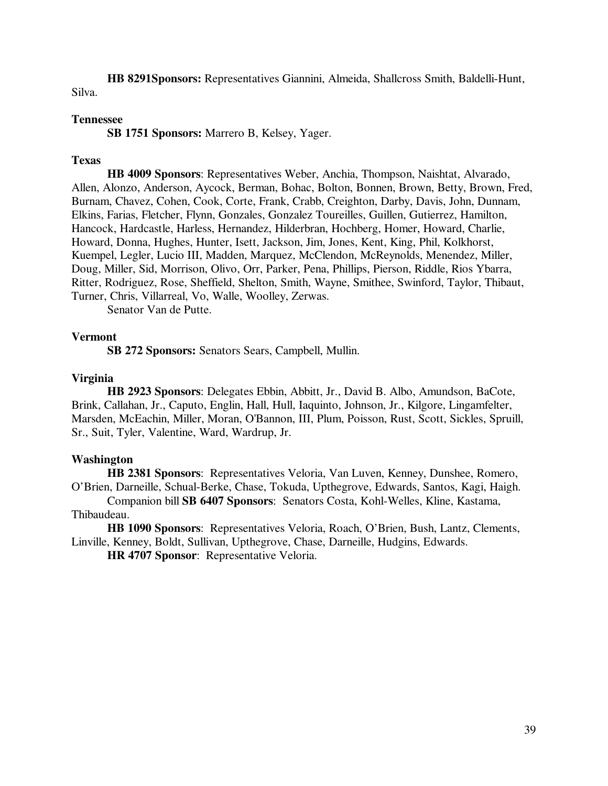**HB 8291Sponsors:** Representatives Giannini, Almeida, Shallcross Smith, Baldelli-Hunt, Silva.

#### **Tennessee**

 **SB 1751 Sponsors:** Marrero B, Kelsey, Yager.

## **Texas**

 **HB 4009 Sponsors**: Representatives Weber, Anchia, Thompson, Naishtat, Alvarado, Allen, Alonzo, Anderson, Aycock, Berman, Bohac, Bolton, Bonnen, Brown, Betty, Brown, Fred, Burnam, Chavez, Cohen, Cook, Corte, Frank, Crabb, Creighton, Darby, Davis, John, Dunnam, Elkins, Farias, Fletcher, Flynn, Gonzales, Gonzalez Toureilles, Guillen, Gutierrez, Hamilton, Hancock, Hardcastle, Harless, Hernandez, Hilderbran, Hochberg, Homer, Howard, Charlie, Howard, Donna, Hughes, Hunter, Isett, Jackson, Jim, Jones, Kent, King, Phil, Kolkhorst, Kuempel, Legler, Lucio III, Madden, Marquez, McClendon, McReynolds, Menendez, Miller, Doug, Miller, Sid, Morrison, Olivo, Orr, Parker, Pena, Phillips, Pierson, Riddle, Rios Ybarra, Ritter, Rodriguez, Rose, Sheffield, Shelton, Smith, Wayne, Smithee, Swinford, Taylor, Thibaut, Turner, Chris, Villarreal, Vo, Walle, Woolley, Zerwas.

Senator Van de Putte.

#### **Vermont**

 **SB 272 Sponsors:** Senators Sears, Campbell, Mullin.

#### **Virginia**

 **HB 2923 Sponsors**: Delegates Ebbin, Abbitt, Jr., David B. Albo, Amundson, BaCote, Brink, Callahan, Jr., Caputo, Englin, Hall, Hull, Iaquinto, Johnson, Jr., Kilgore, Lingamfelter, Marsden, McEachin, Miller, Moran, O'Bannon, III, Plum, Poisson, Rust, Scott, Sickles, Spruill, Sr., Suit, Tyler, Valentine, Ward, Wardrup, Jr.

#### **Washington**

**HB 2381 Sponsors**: Representatives Veloria, Van Luven, Kenney, Dunshee, Romero, O'Brien, Darneille, Schual-Berke, Chase, Tokuda, Upthegrove, Edwards, Santos, Kagi, Haigh.

Companion bill **SB 6407 Sponsors**: Senators Costa, Kohl-Welles, Kline, Kastama, Thibaudeau.

**HB 1090 Sponsors**: Representatives Veloria, Roach, O'Brien, Bush, Lantz, Clements, Linville, Kenney, Boldt, Sullivan, Upthegrove, Chase, Darneille, Hudgins, Edwards.

**HR 4707 Sponsor**: Representative Veloria.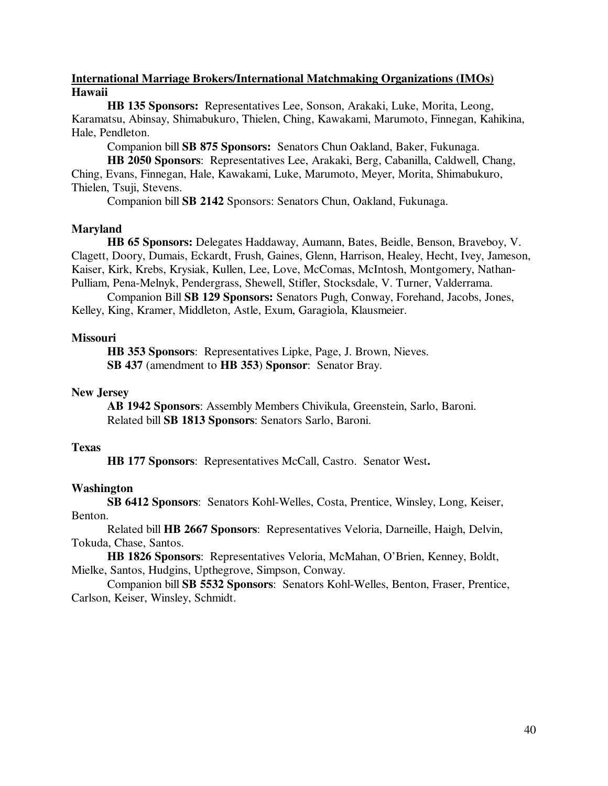## **International Marriage Brokers/International Matchmaking Organizations (IMOs) Hawaii**

**HB 135 Sponsors:** Representatives Lee, Sonson, Arakaki, Luke, Morita, Leong, Karamatsu, Abinsay, Shimabukuro, Thielen, Ching, Kawakami, Marumoto, Finnegan, Kahikina, Hale, Pendleton.

Companion bill **SB 875 Sponsors:** Senators Chun Oakland, Baker, Fukunaga.

**HB 2050 Sponsors**:Representatives Lee, Arakaki, Berg, Cabanilla, Caldwell, Chang, Ching, Evans, Finnegan, Hale, Kawakami, Luke, Marumoto, Meyer, Morita, Shimabukuro, Thielen, Tsuji, Stevens.

Companion bill **SB 2142** Sponsors: Senators Chun, Oakland, Fukunaga.

#### **Maryland**

 **HB 65 Sponsors:** Delegates Haddaway, Aumann, Bates, Beidle, Benson, Braveboy, V. Clagett, Doory, Dumais, Eckardt, Frush, Gaines, Glenn, Harrison, Healey, Hecht, Ivey, Jameson, Kaiser, Kirk, Krebs, Krysiak, Kullen, Lee, Love, McComas, McIntosh, Montgomery, Nathan-Pulliam, Pena-Melnyk, Pendergrass, Shewell, Stifler, Stocksdale, V. Turner, Valderrama.

 Companion Bill **SB 129 Sponsors:** Senators Pugh, Conway, Forehand, Jacobs, Jones, Kelley, King, Kramer, Middleton, Astle, Exum, Garagiola, Klausmeier.

#### **Missouri**

**HB 353 Sponsors**: Representatives Lipke, Page, J. Brown, Nieves. **SB 437** (amendment to **HB 353**) **Sponsor**: Senator Bray.

## **New Jersey**

 **AB 1942 Sponsors**: Assembly Members Chivikula, Greenstein, Sarlo, Baroni. Related bill **SB 1813 Sponsors**: Senators Sarlo, Baroni.

#### **Texas**

**HB 177 Sponsors**: Representatives McCall, Castro. Senator West**.** 

#### **Washington**

**SB 6412 Sponsors**: Senators Kohl-Welles, Costa, Prentice, Winsley, Long, Keiser, Benton.

Related bill **HB 2667 Sponsors**: Representatives Veloria, Darneille, Haigh, Delvin, Tokuda, Chase, Santos.

**HB 1826 Sponsors**: Representatives Veloria, McMahan, O'Brien, Kenney, Boldt, Mielke, Santos, Hudgins, Upthegrove, Simpson, Conway.

Companion bill **SB 5532 Sponsors**: Senators Kohl-Welles, Benton, Fraser, Prentice, Carlson, Keiser, Winsley, Schmidt.